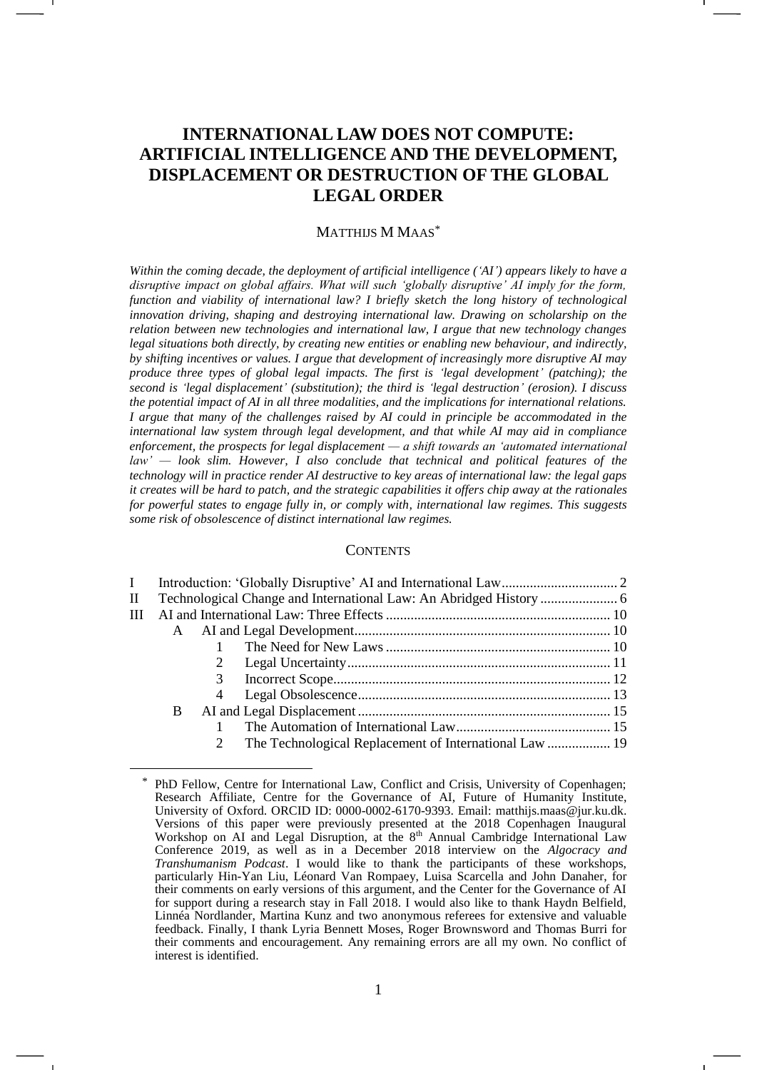# **INTERNATIONAL LAW DOES NOT COMPUTE: ARTIFICIAL INTELLIGENCE AND THE DEVELOPMENT, DISPLACEMENT OR DESTRUCTION OF THE GLOBAL LEGAL ORDER**

#### MATTHIJS M MAAS\*

*Within the coming decade, the deployment of artificial intelligence ('AI') appears likely to have a disruptive impact on global affairs. What will such 'globally disruptive' AI imply for the form, function and viability of international law? I briefly sketch the long history of technological innovation driving, shaping and destroying international law. Drawing on scholarship on the relation between new technologies and international law, I argue that new technology changes legal situations both directly, by creating new entities or enabling new behaviour, and indirectly, by shifting incentives or values. I argue that development of increasingly more disruptive AI may produce three types of global legal impacts. The first is 'legal development' (patching); the second is 'legal displacement' (substitution); the third is 'legal destruction' (erosion). I discuss the potential impact of AI in all three modalities, and the implications for international relations. I argue that many of the challenges raised by AI could in principle be accommodated in the international law system through legal development, and that while AI may aid in compliance enforcement, the prospects for legal displacement — a shift towards an 'automated international law' — look slim. However, I also conclude that technical and political features of the technology will in practice render AI destructive to key areas of international law: the legal gaps it creates will be hard to patch, and the strategic capabilities it offers chip away at the rationales for powerful states to engage fully in, or comply with, international law regimes. This suggests some risk of obsolescence of distinct international law regimes.*

## **CONTENTS**

| П |   |   |  |  |  |  |
|---|---|---|--|--|--|--|
| Ш |   |   |  |  |  |  |
|   |   |   |  |  |  |  |
|   |   |   |  |  |  |  |
|   |   |   |  |  |  |  |
|   |   | 3 |  |  |  |  |
|   |   |   |  |  |  |  |
|   | B |   |  |  |  |  |
|   |   |   |  |  |  |  |
|   |   |   |  |  |  |  |
|   |   |   |  |  |  |  |

<sup>\*</sup> PhD Fellow, Centre for International Law, Conflict and Crisis, University of Copenhagen; Research Affiliate, Centre for the Governance of AI, Future of Humanity Institute, University of Oxford. ORCID ID: 0000-0002-6170-9393. Email: [matthijs.maas@jur.ku.dk.](mailto:matthijs.maas@jur.ku.dk) Versions of this paper were previously presented at the 2018 Copenhagen Inaugural Workshop on AI and Legal Disruption, at the 8<sup>th</sup> Annual Cambridge International Law Conference 2019, as well as in a December 2018 interview on the *Algocracy and Transhumanism Podcast*. I would like to thank the participants of these workshops, particularly Hin-Yan Liu, Léonard Van Rompaey, Luisa Scarcella and John Danaher, for their comments on early versions of this argument, and the Center for the Governance of AI for support during a research stay in Fall 2018. I would also like to thank Haydn Belfield, Linnéa Nordlander, Martina Kunz and two anonymous referees for extensive and valuable feedback. Finally, I thank Lyria Bennett Moses, Roger Brownsword and Thomas Burri for their comments and encouragement. Any remaining errors are all my own. No conflict of interest is identified.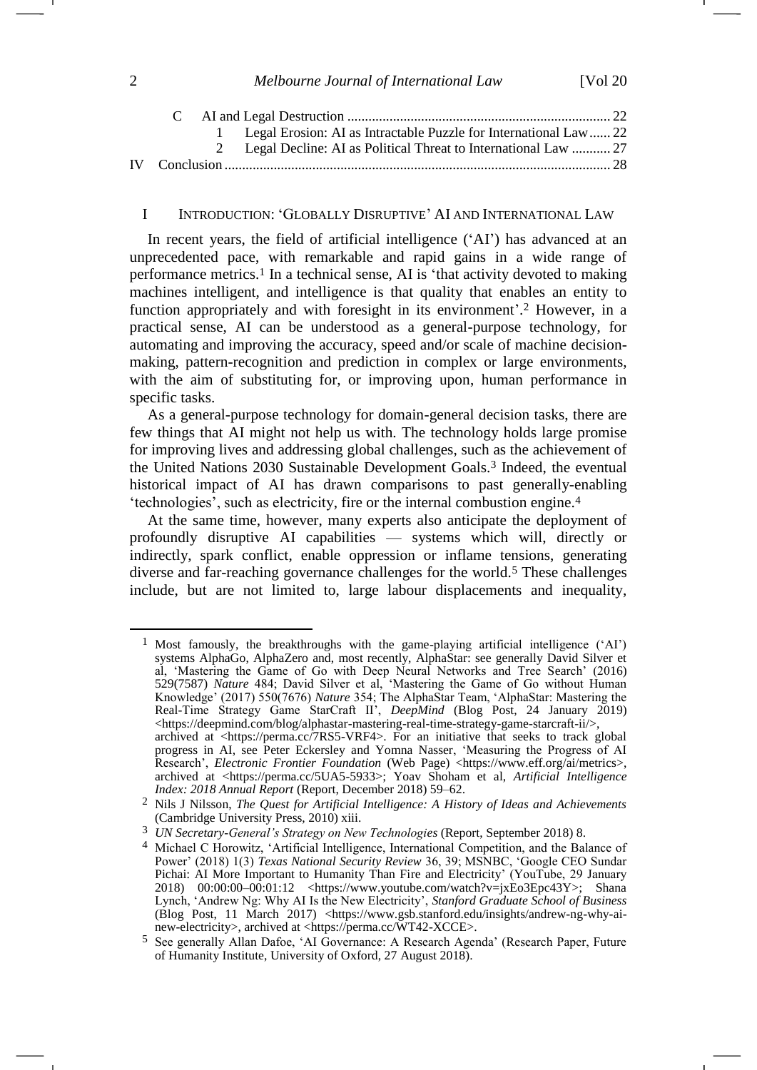<span id="page-1-1"></span>

|  | 1 Legal Erosion: AI as Intractable Puzzle for International Law 22 |  |
|--|--------------------------------------------------------------------|--|
|  | 2 Legal Decline: AI as Political Threat to International Law  27   |  |
|  |                                                                    |  |

#### I INTRODUCTION: 'GLOBALLY DISRUPTIVE' AI AND INTERNATIONAL LAW

In recent years, the field of artificial intelligence ('AI') has advanced at an unprecedented pace, with remarkable and rapid gains in a wide range of performance metrics.<sup>1</sup> In a technical sense, AI is 'that activity devoted to making machines intelligent, and intelligence is that quality that enables an entity to function appropriately and with foresight in its environment'. <sup>2</sup> However, in a practical sense, AI can be understood as a general-purpose technology, for automating and improving the accuracy, speed and/or scale of machine decisionmaking, pattern-recognition and prediction in complex or large environments, with the aim of substituting for, or improving upon, human performance in specific tasks.

As a general-purpose technology for domain-general decision tasks, there are few things that AI might not help us with. The technology holds large promise for improving lives and addressing global challenges, such as the achievement of the United Nations 2030 Sustainable Development Goals.<sup>3</sup> Indeed, the eventual historical impact of AI has drawn comparisons to past generally-enabling 'technologies', such as electricity, fire or the internal combustion engine.<sup>4</sup>

<span id="page-1-0"></span>At the same time, however, many experts also anticipate the deployment of profoundly disruptive AI capabilities — systems which will, directly or indirectly, spark conflict, enable oppression or inflame tensions, generating diverse and far-reaching governance challenges for the world.<sup>5</sup> These challenges include, but are not limited to, large labour displacements and inequality,

<span id="page-1-2"></span><sup>&</sup>lt;sup>1</sup> Most famously, the breakthroughs with the game-playing artificial intelligence ('AI') systems AlphaGo, AlphaZero and, most recently, AlphaStar: see generally David Silver et al, 'Mastering the Game of Go with Deep Neural Networks and Tree Search' (2016) 529(7587) *Nature* 484; David Silver et al, 'Mastering the Game of Go without Human Knowledge' (2017) 550(7676) *Nature* 354; The AlphaStar Team, 'AlphaStar: Mastering the Real-Time Strategy Game StarCraft II', *DeepMind* (Blog Post, 24 January 2019) <https://deepmind.com/blog/alphastar-mastering-real-time-strategy-game-starcraft-ii/>, archived at [<https://perma.cc/7RS5-VRF4>](https://perma.cc/7RS5-VRF4). For an initiative that seeks to track global progress in AI, see Peter Eckersley and Yomna Nasser, 'Measuring the Progress of AI Research', *Electronic Frontier Foundation* (Web Page) <https://www.eff.org/ai/metrics>, archived at [<https://perma.cc/5UA5-5933>](https://perma.cc/5UA5-5933); Yoav Shoham et al, *Artificial Intelligence Index: 2018 Annual Report* (Report, December 2018) 59–62.

<sup>2</sup> Nils J Nilsson, *The Quest for Artificial Intelligence: A History of Ideas and Achievements* (Cambridge University Press, 2010) xiii.

<sup>3</sup> *UN Secretary-General's Strategy on New Technologies* (Report, September 2018) 8.

<sup>&</sup>lt;sup>4</sup> Michael C Horowitz, 'Artificial Intelligence, International Competition, and the Balance of Power' (2018) 1(3) *Texas National Security Review* 36, 39; MSNBC, 'Google CEO Sundar Pichai: AI More Important to Humanity Than Fire and Electricity' (YouTube, 29 January 2018) 00:00:00–00:01:12 <https://www.youtube.com/watch?v=jxEo3Epc43Y>; Shana Lynch, 'Andrew Ng: Why AI Is the New Electricity', *Stanford Graduate School of Business*  (Blog Post, 11 March 2017) <https://www.gsb.stanford.edu/insights/andrew-ng-why-ainew-electricity>, archived at [<https://perma.cc/WT42-XCCE>](https://perma.cc/WT42-XCCE).

<sup>5</sup> See generally Allan Dafoe, 'AI Governance: A Research Agenda' (Research Paper, Future of Humanity Institute, University of Oxford, 27 August 2018).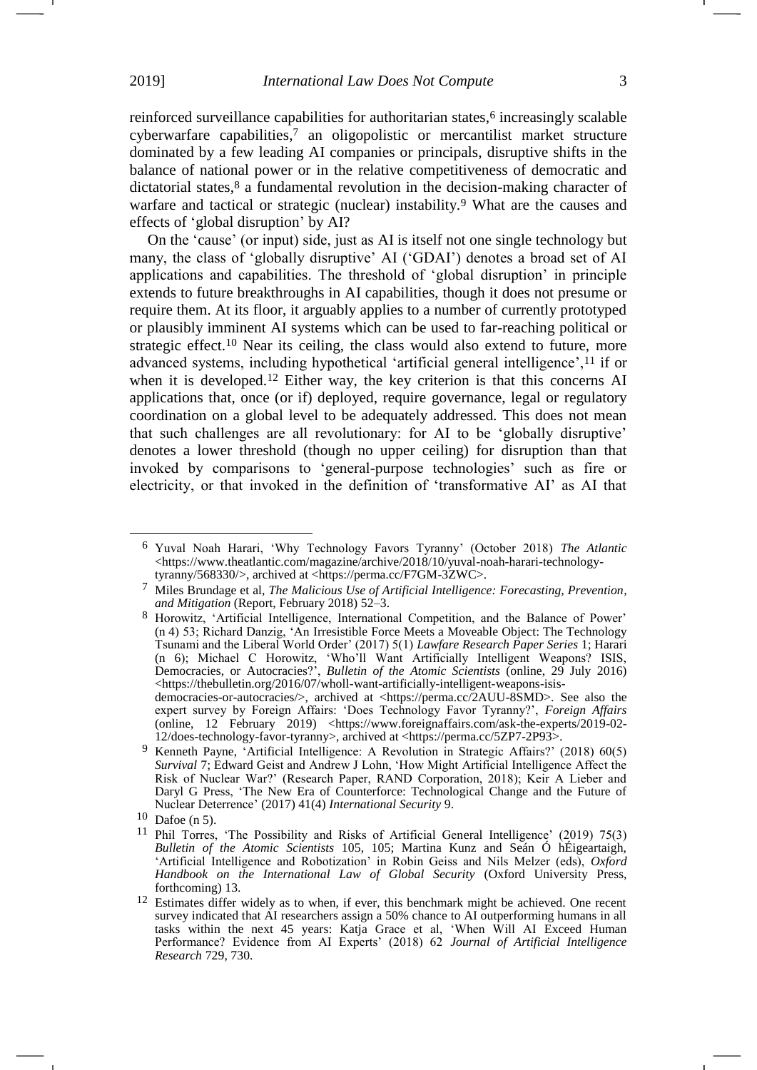reinforced surveillance capabilities for authoritarian states, <sup>6</sup> increasingly scalable cyberwarfare capabilities, <sup>7</sup> an oligopolistic or mercantilist market structure dominated by a few leading AI companies or principals, disruptive shifts in the balance of national power or in the relative competitiveness of democratic and dictatorial states, <sup>8</sup> a fundamental revolution in the decision-making character of warfare and tactical or strategic (nuclear) instability.<sup>9</sup> What are the causes and effects of 'global disruption' by AI?

<span id="page-2-3"></span><span id="page-2-2"></span><span id="page-2-1"></span><span id="page-2-0"></span>On the 'cause' (or input) side, just as AI is itself not one single technology but many, the class of 'globally disruptive' AI ('GDAI') denotes a broad set of AI applications and capabilities. The threshold of 'global disruption' in principle extends to future breakthroughs in AI capabilities, though it does not presume or require them. At its floor, it arguably applies to a number of currently prototyped or plausibly imminent AI systems which can be used to far-reaching political or strategic effect.<sup>10</sup> Near its ceiling, the class would also extend to future, more advanced systems, including hypothetical 'artificial general intelligence',<sup>11</sup> if or when it is developed.<sup>12</sup> Either way, the key criterion is that this concerns AI applications that, once (or if) deployed, require governance, legal or regulatory coordination on a global level to be adequately addressed. This does not mean that such challenges are all revolutionary: for AI to be 'globally disruptive' denotes a lower threshold (though no upper ceiling) for disruption than that invoked by comparisons to 'general-purpose technologies' such as fire or electricity, or that invoked in the definition of 'transformative AI' as AI that

-

<sup>6</sup> Yuval Noah Harari, 'Why Technology Favors Tyranny' (October 2018) *The Atlantic*  [<https://www.theatlantic.com/magazine/archive/2018/10/yuval-noah-harari-technology](https://www.theatlantic.com/magazine/archive/2018/10/yuval-noah-harari-technology-tyranny/568330/)[tyranny/568330/>](https://www.theatlantic.com/magazine/archive/2018/10/yuval-noah-harari-technology-tyranny/568330/), archived at [<https://perma.cc/F7GM-3ZWC>](https://perma.cc/F7GM-3ZWC).

<sup>7</sup> Miles Brundage et al, *The Malicious Use of Artificial Intelligence: Forecasting, Prevention, and Mitigation* (Report, February 2018) 52–3.

<sup>8</sup> Horowitz, 'Artificial Intelligence, International Competition, and the Balance of Power' (n [4\)](#page-1-0) 53; Richard Danzig, 'An Irresistible Force Meets a Moveable Object: The Technology Tsunami and the Liberal World Order' (2017) 5(1) *Lawfare Research Paper Series* 1; Harari (n [6\)](#page-1-1); Michael C Horowitz, 'Who'll Want Artificially Intelligent Weapons? ISIS, Democracies, or Autocracies?', *Bulletin of the Atomic Scientists* (online, 29 July 2016) [<https://thebulletin.org/2016/07/wholl-want-artificially-intelligent-weapons-isis](https://thebulletin.org/2016/07/wholl-want-artificially-intelligent-weapons-isis-democracies-or-autocracies/)[democracies-or-autocracies/>](https://thebulletin.org/2016/07/wholl-want-artificially-intelligent-weapons-isis-democracies-or-autocracies/), archived at <https://perma.cc/2AUU-8SMD>. See also the expert survey by Foreign Affairs: 'Does Technology Favor Tyranny?', *Foreign Affairs* (online, 12 February 2019) [<https://www.foreignaffairs.com/ask-the-experts/2019-02-](https://www.foreignaffairs.com/ask-the-experts/2019-02-12/does-technology-favor-tyranny) [12/does-technology-favor-tyranny>](https://www.foreignaffairs.com/ask-the-experts/2019-02-12/does-technology-favor-tyranny), archived at [<https://perma.cc/5ZP7-2P93>](https://perma.cc/5ZP7-2P93).

<sup>9</sup> Kenneth Payne, 'Artificial Intelligence: A Revolution in Strategic Affairs?' (2018) 60(5) *Survival* 7; Edward Geist and Andrew J Lohn, 'How Might Artificial Intelligence Affect the Risk of Nuclear War?' (Research Paper, RAND Corporation, 2018); Keir A Lieber and Daryl G Press, 'The New Era of Counterforce: Technological Change and the Future of Nuclear Deterrence' (2017) 41(4) *International Security* 9.

 $10$  Dafoe ([n 5\)](#page-1-2).

<sup>&</sup>lt;sup>11</sup> Phil Torres, 'The Possibility and Risks of Artificial General Intelligence' (2019) 75(3) *Bulletin of the Atomic Scientists* 105, 105; Martina Kunz and Seán Ó hÉigeartaigh, 'Artificial Intelligence and Robotization' in Robin Geiss and Nils Melzer (eds), *Oxford Handbook on the International Law of Global Security* (Oxford University Press, forthcoming) 13.

<sup>&</sup>lt;sup>12</sup> Estimates differ widely as to when, if ever, this benchmark might be achieved. One recent survey indicated that AI researchers assign a 50% chance to AI outperforming humans in all tasks within the next 45 years: Katja Grace et al, 'When Will AI Exceed Human Performance? Evidence from AI Experts' (2018) 62 *Journal of Artificial Intelligence Research* 729, 730.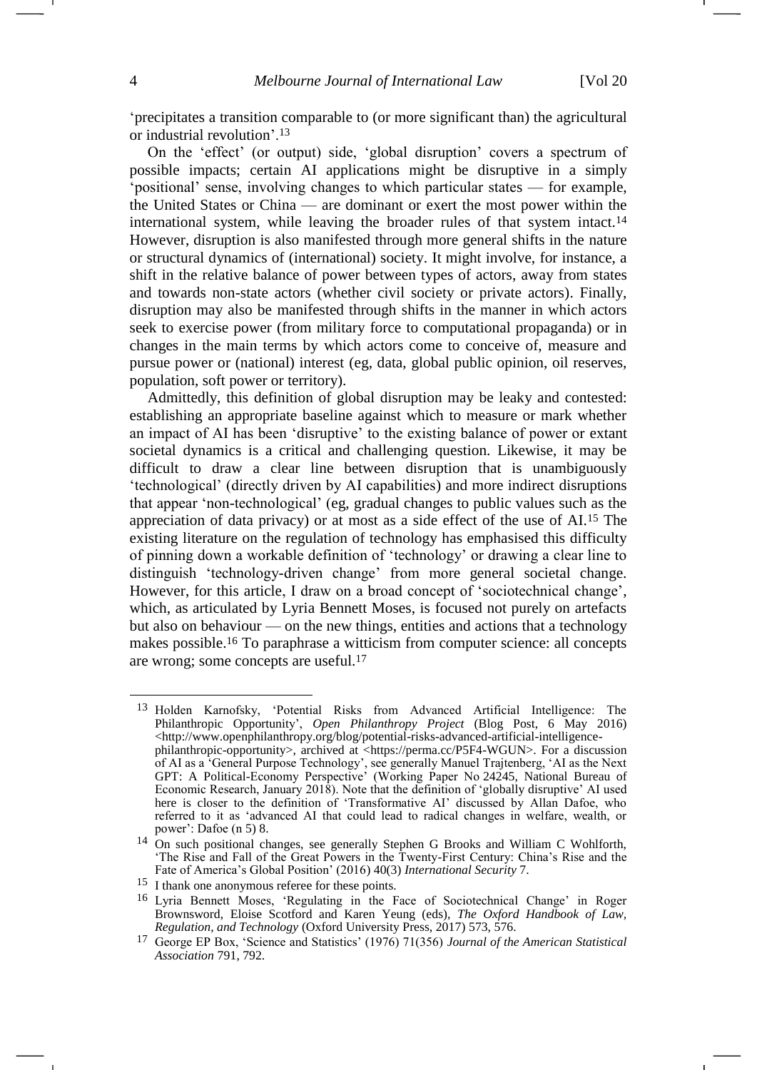<u>.</u>

'precipitates a transition comparable to (or more significant than) the agricultural or industrial revolution'.<sup>13</sup>

On the 'effect' (or output) side, 'global disruption' covers a spectrum of possible impacts; certain AI applications might be disruptive in a simply 'positional' sense, involving changes to which particular states — for example, the United States or China — are dominant or exert the most power within the international system, while leaving the broader rules of that system intact.<sup>14</sup> However, disruption is also manifested through more general shifts in the nature or structural dynamics of (international) society. It might involve, for instance, a shift in the relative balance of power between types of actors, away from states and towards non-state actors (whether civil society or private actors). Finally, disruption may also be manifested through shifts in the manner in which actors seek to exercise power (from military force to computational propaganda) or in changes in the main terms by which actors come to conceive of, measure and pursue power or (national) interest (eg, data, global public opinion, oil reserves, population, soft power or territory).

Admittedly, this definition of global disruption may be leaky and contested: establishing an appropriate baseline against which to measure or mark whether an impact of AI has been 'disruptive' to the existing balance of power or extant societal dynamics is a critical and challenging question. Likewise, it may be difficult to draw a clear line between disruption that is unambiguously 'technological' (directly driven by AI capabilities) and more indirect disruptions that appear 'non-technological' (eg, gradual changes to public values such as the appreciation of data privacy) or at most as a side effect of the use of AI.<sup>15</sup> The existing literature on the regulation of technology has emphasised this difficulty of pinning down a workable definition of 'technology' or drawing a clear line to distinguish 'technology-driven change' from more general societal change. However, for this article, I draw on a broad concept of 'sociotechnical change', which, as articulated by Lyria Bennett Moses, is focused not purely on artefacts but also on behaviour — on the new things, entities and actions that a technology makes possible.<sup>16</sup> To paraphrase a witticism from computer science: all concepts are wrong; some concepts are useful.<sup>17</sup>

<sup>13</sup> Holden Karnofsky, 'Potential Risks from Advanced Artificial Intelligence: The Philanthropic Opportunity', *Open Philanthropy Project* (Blog Post, 6 May 2016) <http://www.openphilanthropy.org/blog/potential-risks-advanced-artificial-intelligencephilanthropic-opportunity>, archived at [<https://perma.cc/P5F4-WGUN>](https://perma.cc/P5F4-WGUN). For a discussion of AI as a 'General Purpose Technology', see generally Manuel Trajtenberg, 'AI as the Next GPT: A Political-Economy Perspective' (Working Paper No 24245, National Bureau of Economic Research, January 2018). Note that the definition of 'globally disruptive' AI used here is closer to the definition of 'Transformative AI' discussed by Allan Dafoe, who referred to it as 'advanced AI that could lead to radical changes in welfare, wealth, or power': Dafoe (n [5\)](#page-1-2) 8.

<sup>14</sup> On such positional changes, see generally Stephen G Brooks and William C Wohlforth, 'The Rise and Fall of the Great Powers in the Twenty-First Century: China's Rise and the Fate of America's Global Position' (2016) 40(3) *International Security* 7.

<sup>15</sup> I thank one anonymous referee for these points.

<sup>16</sup> Lyria Bennett Moses, 'Regulating in the Face of Sociotechnical Change' in Roger Brownsword, Eloise Scotford and Karen Yeung (eds), *The Oxford Handbook of Law, Regulation, and Technology* (Oxford University Press, 2017) 573, 576.

<sup>17</sup> George EP Box, 'Science and Statistics' (1976) 71(356) *Journal of the American Statistical Association* 791, 792.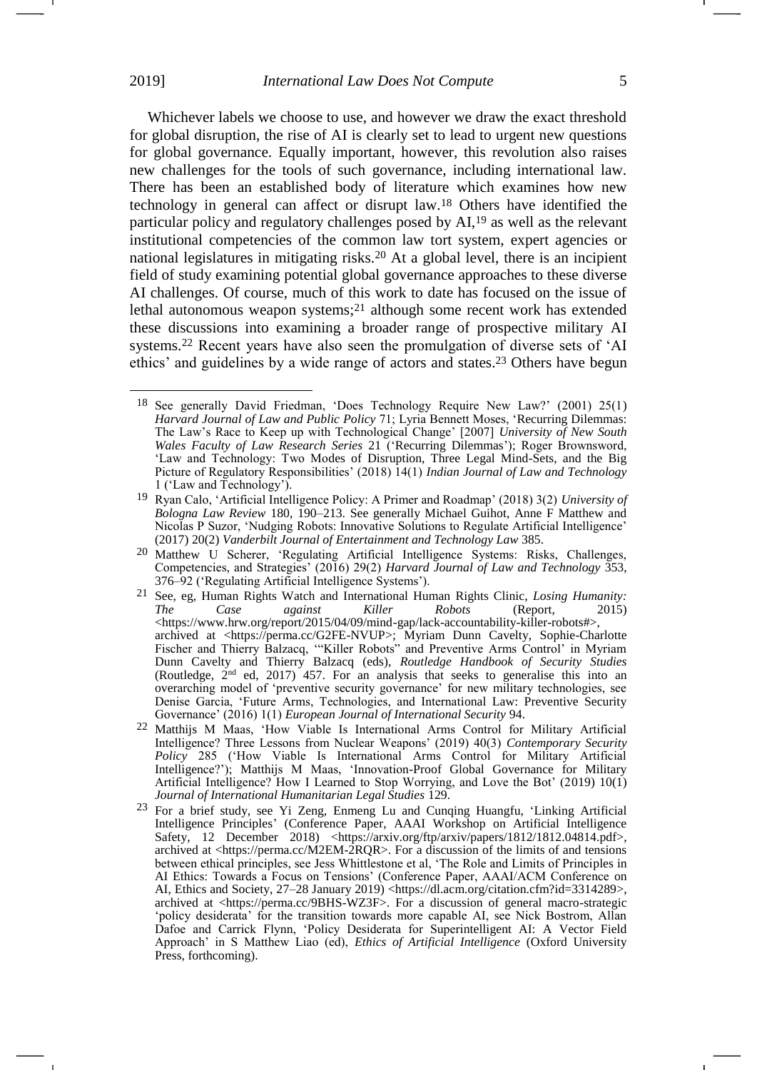<span id="page-4-0"></span>Whichever labels we choose to use, and however we draw the exact threshold for global disruption, the rise of AI is clearly set to lead to urgent new questions for global governance. Equally important, however, this revolution also raises new challenges for the tools of such governance, including international law. There has been an established body of literature which examines how new technology in general can affect or disrupt law.<sup>18</sup> Others have identified the particular policy and regulatory challenges posed by AI,<sup>19</sup> as well as the relevant institutional competencies of the common law tort system, expert agencies or national legislatures in mitigating risks.<sup>20</sup> At a global level, there is an incipient field of study examining potential global governance approaches to these diverse AI challenges. Of course, much of this work to date has focused on the issue of lethal autonomous weapon systems; <sup>21</sup> although some recent work has extended these discussions into examining a broader range of prospective military AI systems.<sup>22</sup> Recent years have also seen the promulgation of diverse sets of 'AI ethics' and guidelines by a wide range of actors and states. <sup>23</sup> Others have begun

<span id="page-4-2"></span><span id="page-4-1"></span><sup>18</sup> See generally David Friedman, 'Does Technology Require New Law?' (2001) 25(1) *Harvard Journal of Law and Public Policy* 71; Lyria Bennett Moses, 'Recurring Dilemmas: The Law's Race to Keep up with Technological Change' [2007] *University of New South Wales Faculty of Law Research Series* 21 ('Recurring Dilemmas'); Roger Brownsword, 'Law and Technology: Two Modes of Disruption, Three Legal Mind-Sets, and the Big Picture of Regulatory Responsibilities' (2018) 14(1) *Indian Journal of Law and Technology* 1 ('Law and Technology').

<sup>19</sup> Ryan Calo, 'Artificial Intelligence Policy: A Primer and Roadmap' (2018) 3(2) *University of Bologna Law Review* 180, 190–213. See generally Michael Guihot, Anne F Matthew and Nicolas P Suzor, 'Nudging Robots: Innovative Solutions to Regulate Artificial Intelligence' (2017) 20(2) *Vanderbilt Journal of Entertainment and Technology Law* 385.

<sup>20</sup> Matthew U Scherer, 'Regulating Artificial Intelligence Systems: Risks, Challenges, Competencies, and Strategies' (2016) 29(2) *Harvard Journal of Law and Technology* 353, 376–92 ('Regulating Artificial Intelligence Systems').

<sup>21</sup> See, eg, Human Rights Watch and International Human Rights Clinic, *Losing Humanity: The Case against Killer Robots* (Report, 2015) <https://www.hrw.org/report/2015/04/09/mind-gap/lack-accountability-killer-robots#>, archived at <https://perma.cc/G2FE-NVUP>; Myriam Dunn Cavelty, Sophie-Charlotte Fischer and Thierry Balzacq, '"Killer Robots" and Preventive Arms Control' in Myriam Dunn Cavelty and Thierry Balzacq (eds), *Routledge Handbook of Security Studies* (Routledge, 2nd ed, 2017) 457. For an analysis that seeks to generalise this into an overarching model of 'preventive security governance' for new military technologies, see Denise Garcia, 'Future Arms, Technologies, and International Law: Preventive Security Governance' (2016) 1(1) *European Journal of International Security* 94.

<sup>22</sup> Matthijs M Maas, 'How Viable Is International Arms Control for Military Artificial Intelligence? Three Lessons from Nuclear Weapons' (2019) 40(3) *Contemporary Security Policy* 285 ('How Viable Is International Arms Control for Military Artificial Intelligence?'); Matthijs M Maas, 'Innovation-Proof Global Governance for Military Artificial Intelligence? How I Learned to Stop Worrying, and Love the Bot' (2019) 10(1) *Journal of International Humanitarian Legal Studies* 129.

<sup>23</sup> For a brief study, see Yi Zeng, Enmeng Lu and Cunqing Huangfu, 'Linking Artificial Intelligence Principles' (Conference Paper, AAAI Workshop on Artificial Intelligence Safety, 12 December 2018) [<https://arxiv.org/ftp/arxiv/papers/1812/1812.04814.pdf>](https://arxiv.org/ftp/arxiv/papers/1812/1812.04814.pdf), archived at [<https://perma.cc/M2EM-2RQR>](https://perma.cc/M2EM-2RQR). For a discussion of the limits of and tensions between ethical principles, see Jess Whittlestone et al, 'The Role and Limits of Principles in AI Ethics: Towards a Focus on Tensions' (Conference Paper, AAAI/ACM Conference on AI, Ethics and Society, 27–28 January 2019) [<https://dl.acm.org/citation.cfm?id=3314289>](https://dl.acm.org/citation.cfm?id=3314289), archived at [<https://perma.cc/9BHS-WZ3F>](https://perma.cc/9BHS-WZ3F). For a discussion of general macro-strategic 'policy desiderata' for the transition towards more capable AI, see Nick Bostrom, Allan Dafoe and Carrick Flynn, 'Policy Desiderata for Superintelligent AI: A Vector Field Approach' in S Matthew Liao (ed), *Ethics of Artificial Intelligence* (Oxford University Press, forthcoming).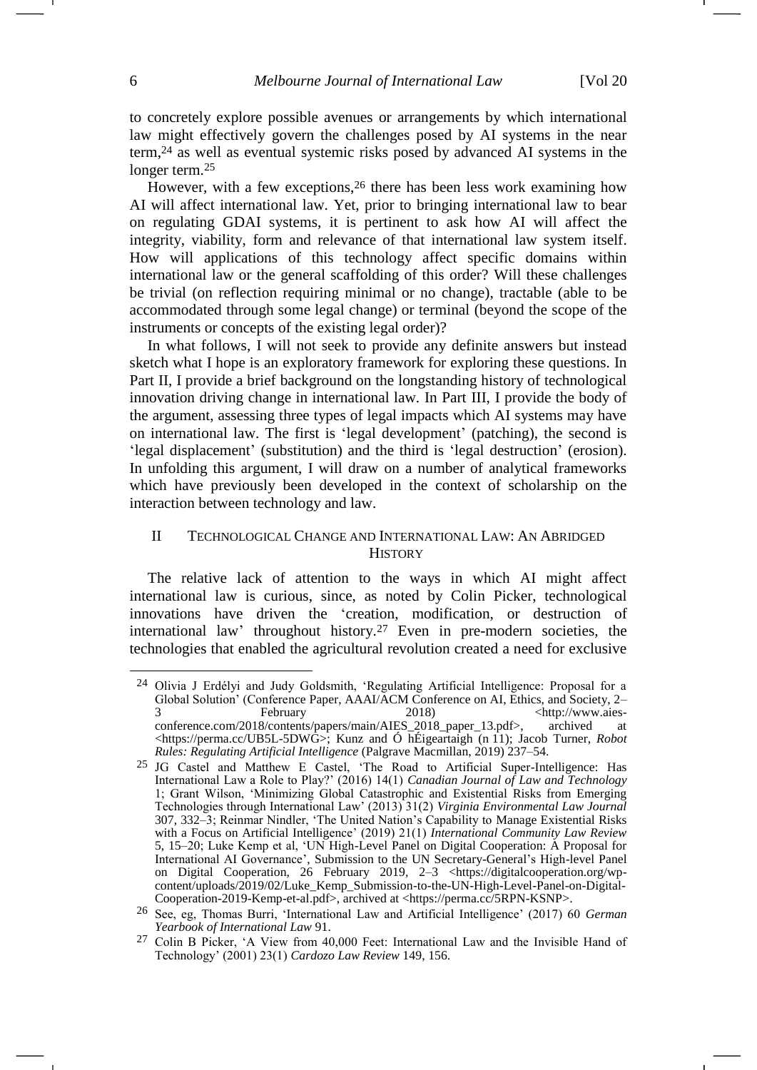<span id="page-5-2"></span>to concretely explore possible avenues or arrangements by which international law might effectively govern the challenges posed by AI systems in the near term,<sup>24</sup> as well as eventual systemic risks posed by advanced AI systems in the longer term.<sup>25</sup>

<span id="page-5-1"></span>However, with a few exceptions,<sup>26</sup> there has been less work examining how AI will affect international law. Yet, prior to bringing international law to bear on regulating GDAI systems, it is pertinent to ask how AI will affect the integrity, viability, form and relevance of that international law system itself. How will applications of this technology affect specific domains within international law or the general scaffolding of this order? Will these challenges be trivial (on reflection requiring minimal or no change), tractable (able to be accommodated through some legal change) or terminal (beyond the scope of the instruments or concepts of the existing legal order)?

In what follows, I will not seek to provide any definite answers but instead sketch what I hope is an exploratory framework for exploring these questions. In Part II, I provide a brief background on the longstanding history of technological innovation driving change in international law. In Part III, I provide the body of the argument, assessing three types of legal impacts which AI systems may have on international law. The first is 'legal development' (patching), the second is 'legal displacement' (substitution) and the third is 'legal destruction' (erosion). In unfolding this argument, I will draw on a number of analytical frameworks which have previously been developed in the context of scholarship on the interaction between technology and law.

# <span id="page-5-0"></span>II TECHNOLOGICAL CHANGE AND INTERNATIONAL LAW: AN ABRIDGED **HISTORY**

The relative lack of attention to the ways in which AI might affect international law is curious, since, as noted by Colin Picker, technological innovations have driven the 'creation, modification, or destruction of international law' throughout history.<sup>27</sup> Even in pre-modern societies, the technologies that enabled the agricultural revolution created a need for exclusive

<sup>24</sup> Olivia J Erdélyi and Judy Goldsmith, 'Regulating Artificial Intelligence: Proposal for a Global Solution' (Conference Paper, AAAI/ACM Conference on AI, Ethics, and Society, 2– 3 February 2018)  $\langle \text{http://www.aies--}$ conference.com/2018/contents/papers/main/AIES\_2018\_paper\_13.pdf>, archived at <https://perma.cc/UB5L-5DWG>; Kunz and Ó hÉigeartaigh (n [11\)](#page-2-0); Jacob Turner, *Robot Rules: Regulating Artificial Intelligence* (Palgrave Macmillan, 2019) 237–54.

<sup>25</sup> JG Castel and Matthew E Castel, 'The Road to Artificial Super-Intelligence: Has International Law a Role to Play?' (2016) 14(1) *Canadian Journal of Law and Technology* 1; Grant Wilson, 'Minimizing Global Catastrophic and Existential Risks from Emerging Technologies through International Law' (2013) 31(2) *Virginia Environmental Law Journal* 307, 332–3; Reinmar Nindler, 'The United Nation's Capability to Manage Existential Risks with a Focus on Artificial Intelligence' (2019) 21(1) *International Community Law Review* 5, 15–20; Luke Kemp et al, 'UN High-Level Panel on Digital Cooperation: A Proposal for International AI Governance', Submission to the UN Secretary-General's High-level Panel on Digital Cooperation, 26 February 2019, 2–3 <https://digitalcooperation.org/wpcontent/uploads/2019/02/Luke\_Kemp\_Submission-to-the-UN-High-Level-Panel-on-Digital-Cooperation-2019-Kemp-et-al.pdf>, archived at <https://perma.cc/5RPN-KSNP>.

<sup>26</sup> See, eg, Thomas Burri, 'International Law and Artificial Intelligence' (2017) 60 *German Yearbook of International Law* 91.

<sup>27</sup> Colin B Picker, 'A View from 40,000 Feet: International Law and the Invisible Hand of Technology' (2001) 23(1) *Cardozo Law Review* 149, 156.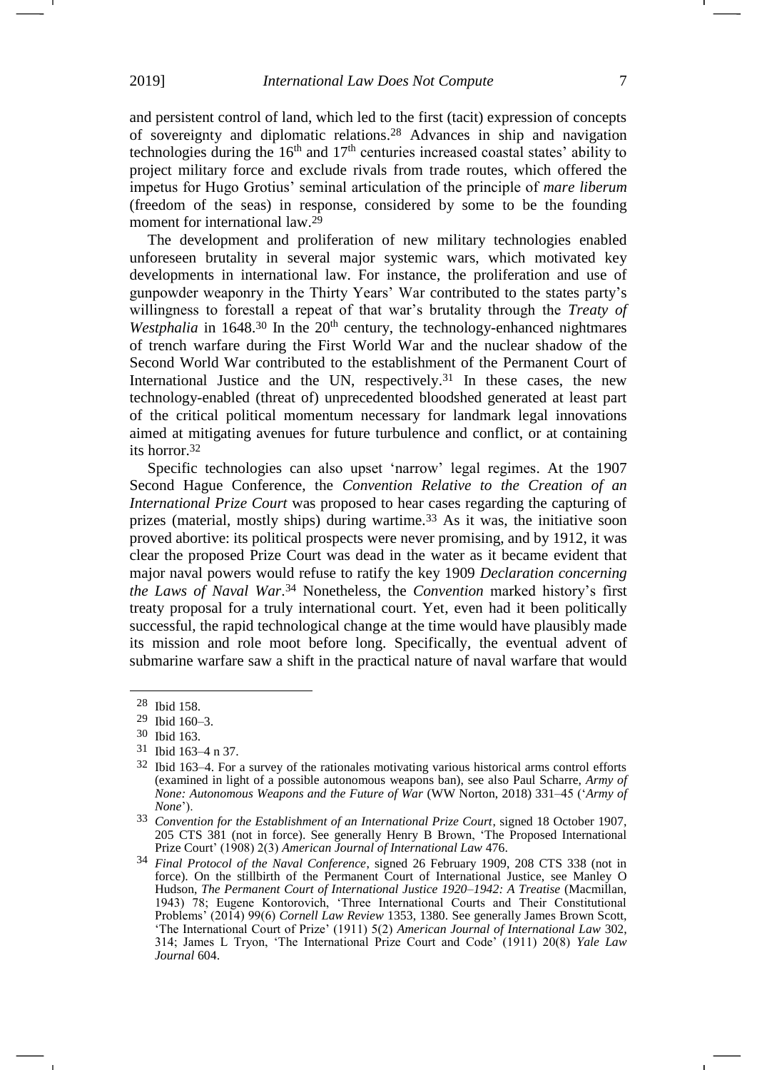and persistent control of land, which led to the first (tacit) expression of concepts of sovereignty and diplomatic relations.<sup>28</sup> Advances in ship and navigation technologies during the  $16<sup>th</sup>$  and  $17<sup>th</sup>$  centuries increased coastal states' ability to project military force and exclude rivals from trade routes, which offered the impetus for Hugo Grotius' seminal articulation of the principle of *mare liberum*  (freedom of the seas) in response, considered by some to be the founding moment for international law.<sup>29</sup>

The development and proliferation of new military technologies enabled unforeseen brutality in several major systemic wars, which motivated key developments in international law. For instance, the proliferation and use of gunpowder weaponry in the Thirty Years' War contributed to the states party's willingness to forestall a repeat of that war's brutality through the *Treaty of*  Westphalia in 1648.<sup>30</sup> In the 20<sup>th</sup> century, the technology-enhanced nightmares of trench warfare during the First World War and the nuclear shadow of the Second World War contributed to the establishment of the Permanent Court of International Justice and the UN, respectively. <sup>31</sup> In these cases, the new technology-enabled (threat of) unprecedented bloodshed generated at least part of the critical political momentum necessary for landmark legal innovations aimed at mitigating avenues for future turbulence and conflict, or at containing its horror. 32

<span id="page-6-0"></span>Specific technologies can also upset 'narrow' legal regimes. At the 1907 Second Hague Conference, the *Convention Relative to the Creation of an International Prize Court* was proposed to hear cases regarding the capturing of prizes (material, mostly ships) during wartime.<sup>33</sup> As it was, the initiative soon proved abortive: its political prospects were never promising, and by 1912, it was clear the proposed Prize Court was dead in the water as it became evident that major naval powers would refuse to ratify the key 1909 *Declaration concerning the Laws of Naval War*. <sup>34</sup> Nonetheless, the *Convention* marked history's first treaty proposal for a truly international court. Yet, even had it been politically successful, the rapid technological change at the time would have plausibly made its mission and role moot before long. Specifically, the eventual advent of submarine warfare saw a shift in the practical nature of naval warfare that would

<sup>28</sup> Ibid 158.

<sup>29</sup> Ibid 160–3.

<sup>30</sup> Ibid 163.

<sup>31</sup> Ibid 163–4 n 37.

<sup>32</sup> Ibid 163–4. For a survey of the rationales motivating various historical arms control efforts (examined in light of a possible autonomous weapons ban), see also Paul Scharre, *Army of None: Autonomous Weapons and the Future of War* (WW Norton, 2018) 331–45 ('*Army of None*').

<sup>33</sup> *Convention for the Establishment of an International Prize Court*, signed 18 October 1907, 205 CTS 381 (not in force). See generally Henry B Brown, 'The Proposed International Prize Court' (1908) 2(3) *American Journal of International Law* 476.

<sup>34</sup> *Final Protocol of the Naval Conference*, signed 26 February 1909, 208 CTS 338 (not in force). On the stillbirth of the Permanent Court of International Justice, see Manley O Hudson, *The Permanent Court of International Justice 1920–1942: A Treatise* (Macmillan, 1943) 78; Eugene Kontorovich, 'Three International Courts and Their Constitutional Problems' (2014) 99(6) *Cornell Law Review* 1353, 1380. See generally James Brown Scott, 'The International Court of Prize' (1911) 5(2) *American Journal of International Law* 302, 314; James L Tryon, 'The International Prize Court and Code' (1911) 20(8) *Yale Law Journal* 604.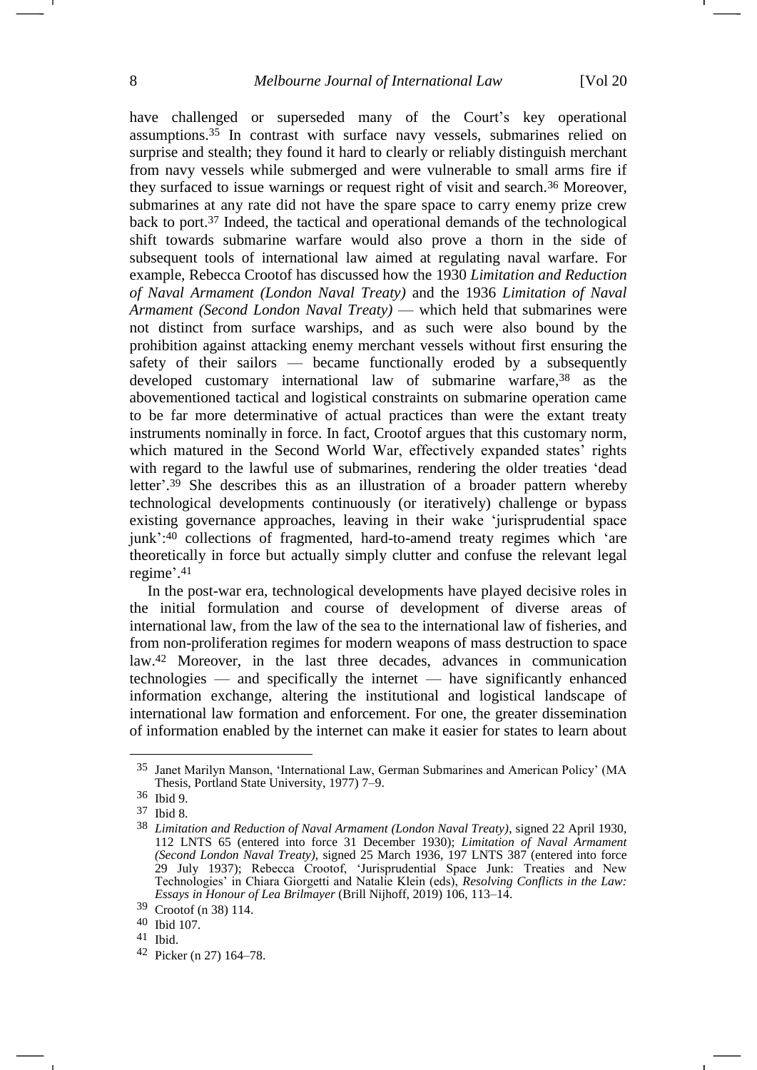have challenged or superseded many of the Court's key operational assumptions.<sup>35</sup> In contrast with surface navy vessels, submarines relied on surprise and stealth; they found it hard to clearly or reliably distinguish merchant from navy vessels while submerged and were vulnerable to small arms fire if they surfaced to issue warnings or request right of visit and search.<sup>36</sup> Moreover, submarines at any rate did not have the spare space to carry enemy prize crew back to port.<sup>37</sup> Indeed, the tactical and operational demands of the technological shift towards submarine warfare would also prove a thorn in the side of subsequent tools of international law aimed at regulating naval warfare. For example, Rebecca Crootof has discussed how the 1930 *Limitation and Reduction of Naval Armament (London Naval Treaty)* and the 1936 *Limitation of Naval Armament (Second London Naval Treaty)* — which held that submarines were not distinct from surface warships, and as such were also bound by the prohibition against attacking enemy merchant vessels without first ensuring the safety of their sailors — became functionally eroded by a subsequently developed customary international law of submarine warfare, <sup>38</sup> as the abovementioned tactical and logistical constraints on submarine operation came to be far more determinative of actual practices than were the extant treaty instruments nominally in force. In fact, Crootof argues that this customary norm, which matured in the Second World War, effectively expanded states' rights with regard to the lawful use of submarines, rendering the older treaties 'dead letter'. <sup>39</sup> She describes this as an illustration of a broader pattern whereby technological developments continuously (or iteratively) challenge or bypass existing governance approaches, leaving in their wake 'jurisprudential space junk':<sup>40</sup> collections of fragmented, hard-to-amend treaty regimes which 'are theoretically in force but actually simply clutter and confuse the relevant legal regime'. 41

<span id="page-7-0"></span>In the post-war era, technological developments have played decisive roles in the initial formulation and course of development of diverse areas of international law, from the law of the sea to the international law of fisheries, and from non-proliferation regimes for modern weapons of mass destruction to space law.<sup>42</sup> Moreover, in the last three decades, advances in communication technologies — and specifically the internet — have significantly enhanced information exchange, altering the institutional and logistical landscape of international law formation and enforcement. For one, the greater dissemination of information enabled by the internet can make it easier for states to learn about

<sup>35</sup> Janet Marilyn Manson, 'International Law, German Submarines and American Policy' (MA Thesis, Portland State University, 1977) 7–9.

<sup>36</sup> Ibid 9.

<sup>37</sup> Ibid 8.

<sup>38</sup> *Limitation and Reduction of Naval Armament (London Naval Treaty)*, signed 22 April 1930, 112 LNTS 65 (entered into force 31 December 1930); *Limitation of Naval Armament (Second London Naval Treaty)*, signed 25 March 1936, 197 LNTS 387 (entered into force 29 July 1937); Rebecca Crootof, 'Jurisprudential Space Junk: Treaties and New Technologies' in Chiara Giorgetti and Natalie Klein (eds), *Resolving Conflicts in the Law: Essays in Honour of Lea Brilmayer* (Brill Nijhoff, 2019) 106, 113–14.

<sup>39</sup> Crootof (n [38\)](#page-7-0) 114.

<sup>40</sup> Ibid 107.

<sup>41</sup> Ibid.

<sup>42</sup> Picker (n [27\)](#page-5-0) 164–78.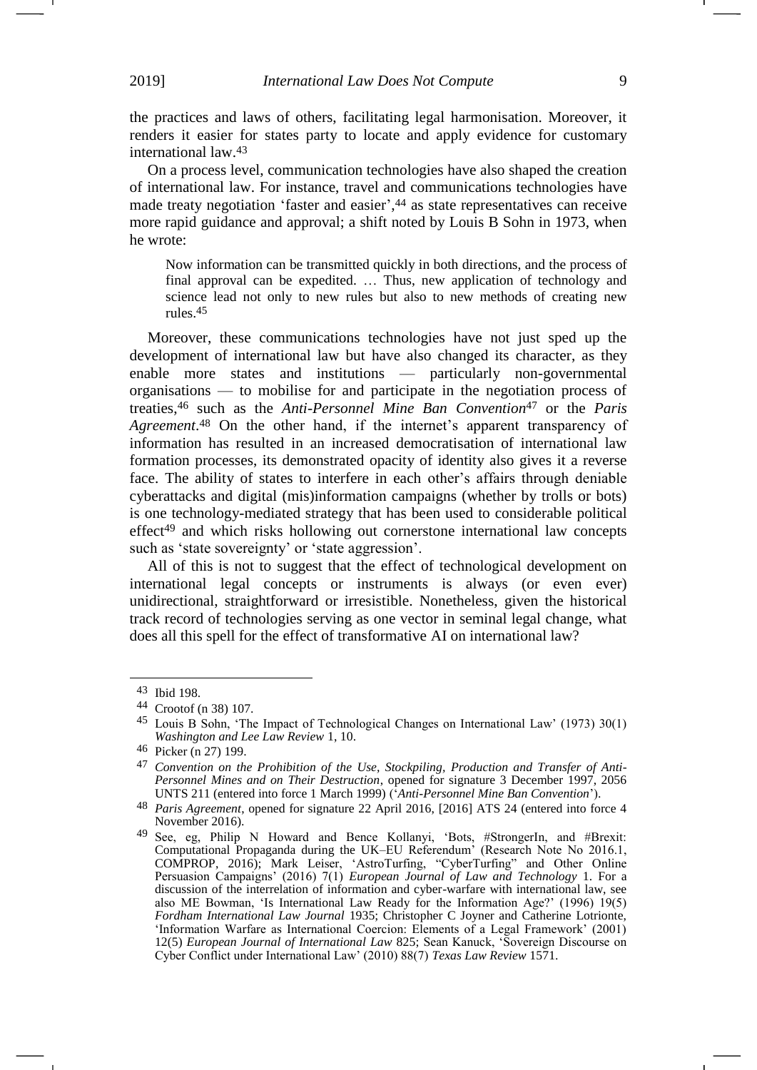the practices and laws of others, facilitating legal harmonisation. Moreover, it renders it easier for states party to locate and apply evidence for customary international law.<sup>43</sup>

On a process level, communication technologies have also shaped the creation of international law. For instance, travel and communications technologies have made treaty negotiation 'faster and easier', <sup>44</sup> as state representatives can receive more rapid guidance and approval; a shift noted by Louis B Sohn in 1973, when he wrote:

Now information can be transmitted quickly in both directions, and the process of final approval can be expedited. … Thus, new application of technology and science lead not only to new rules but also to new methods of creating new rules.45

Moreover, these communications technologies have not just sped up the development of international law but have also changed its character, as they enable more states and institutions — particularly non-governmental organisations — to mobilise for and participate in the negotiation process of treaties,<sup>46</sup> such as the *Anti-Personnel Mine Ban Convention*<sup>47</sup> or the *Paris Agreement*. <sup>48</sup> On the other hand, if the internet's apparent transparency of information has resulted in an increased democratisation of international law formation processes, its demonstrated opacity of identity also gives it a reverse face. The ability of states to interfere in each other's affairs through deniable cyberattacks and digital (mis)information campaigns (whether by trolls or bots) is one technology-mediated strategy that has been used to considerable political effect <sup>49</sup> and which risks hollowing out cornerstone international law concepts such as 'state sovereignty' or 'state aggression'.

All of this is not to suggest that the effect of technological development on international legal concepts or instruments is always (or even ever) unidirectional, straightforward or irresistible. Nonetheless, given the historical track record of technologies serving as one vector in seminal legal change, what does all this spell for the effect of transformative AI on international law?

<sup>43</sup> Ibid 198.

<sup>44</sup> Crootof (n [38\)](#page-7-0) 107.

<sup>45</sup> Louis B Sohn, 'The Impact of Technological Changes on International Law' (1973) 30(1) *Washington and Lee Law Review* 1, 10.

<sup>46</sup> Picker (n [27\)](#page-5-0) 199.

<sup>47</sup> *Convention on the Prohibition of the Use, Stockpiling, Production and Transfer of Anti-Personnel Mines and on Their Destruction*, opened for signature 3 December 1997, 2056 UNTS 211 (entered into force 1 March 1999) ('*Anti-Personnel Mine Ban Convention*').

<sup>48</sup> *Paris Agreement*, opened for signature 22 April 2016, [2016] ATS 24 (entered into force 4 November 2016).

<sup>49</sup> See, eg, Philip N Howard and Bence Kollanyi, 'Bots, #StrongerIn, and #Brexit: Computational Propaganda during the UK–EU Referendum' (Research Note No 2016.1, COMPROP, 2016); Mark Leiser, 'AstroTurfing, "CyberTurfing" and Other Online Persuasion Campaigns' (2016) 7(1) *European Journal of Law and Technology* 1. For a discussion of the interrelation of information and cyber-warfare with international law, see also ME Bowman, 'Is International Law Ready for the Information Age?' (1996) 19(5) *Fordham International Law Journal* 1935; Christopher C Joyner and Catherine Lotrionte, 'Information Warfare as International Coercion: Elements of a Legal Framework' (2001) 12(5) *European Journal of International Law* 825; Sean Kanuck, 'Sovereign Discourse on Cyber Conflict under International Law' (2010) 88(7) *Texas Law Review* 1571.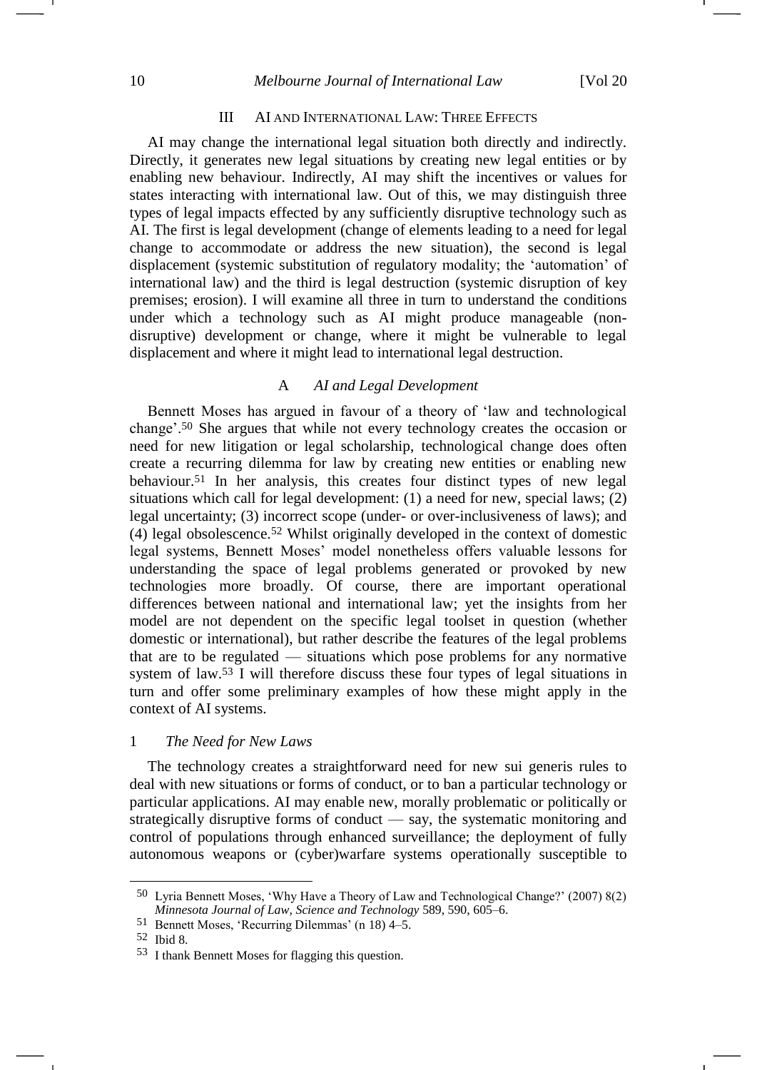## 10 *Melbourne Journal of International Law* [Vol 20

## III AI AND INTERNATIONAL LAW: THREE EFFECTS

AI may change the international legal situation both directly and indirectly. Directly, it generates new legal situations by creating new legal entities or by enabling new behaviour. Indirectly, AI may shift the incentives or values for states interacting with international law. Out of this, we may distinguish three types of legal impacts effected by any sufficiently disruptive technology such as AI. The first is legal development (change of elements leading to a need for legal change to accommodate or address the new situation), the second is legal displacement (systemic substitution of regulatory modality; the 'automation' of international law) and the third is legal destruction (systemic disruption of key premises; erosion). I will examine all three in turn to understand the conditions under which a technology such as AI might produce manageable (nondisruptive) development or change, where it might be vulnerable to legal displacement and where it might lead to international legal destruction.

# A *AI and Legal Development*

Bennett Moses has argued in favour of a theory of 'law and technological change'.<sup>50</sup> She argues that while not every technology creates the occasion or need for new litigation or legal scholarship, technological change does often create a recurring dilemma for law by creating new entities or enabling new behaviour.<sup>51</sup> In her analysis, this creates four distinct types of new legal situations which call for legal development: (1) a need for new, special laws; (2) legal uncertainty; (3) incorrect scope (under- or over-inclusiveness of laws); and (4) legal obsolescence.<sup>52</sup> Whilst originally developed in the context of domestic legal systems, Bennett Moses' model nonetheless offers valuable lessons for understanding the space of legal problems generated or provoked by new technologies more broadly. Of course, there are important operational differences between national and international law; yet the insights from her model are not dependent on the specific legal toolset in question (whether domestic or international), but rather describe the features of the legal problems that are to be regulated — situations which pose problems for any normative system of law.<sup>53</sup> I will therefore discuss these four types of legal situations in turn and offer some preliminary examples of how these might apply in the context of AI systems.

#### 1 *The Need for New Laws*

The technology creates a straightforward need for new sui generis rules to deal with new situations or forms of conduct, or to ban a particular technology or particular applications. AI may enable new, morally problematic or politically or strategically disruptive forms of conduct — say, the systematic monitoring and control of populations through enhanced surveillance; the deployment of fully autonomous weapons or (cyber)warfare systems operationally susceptible to

1

<sup>50</sup> Lyria Bennett Moses, 'Why Have a Theory of Law and Technological Change?' (2007) 8(2) *Minnesota Journal of Law, Science and Technology* 589, 590, 605–6.

<sup>51</sup> Bennett Moses, 'Recurring Dilemmas' (n [18\)](#page-4-0) 4–5.

<sup>52</sup> Ibid 8.

<sup>53</sup> I thank Bennett Moses for flagging this question.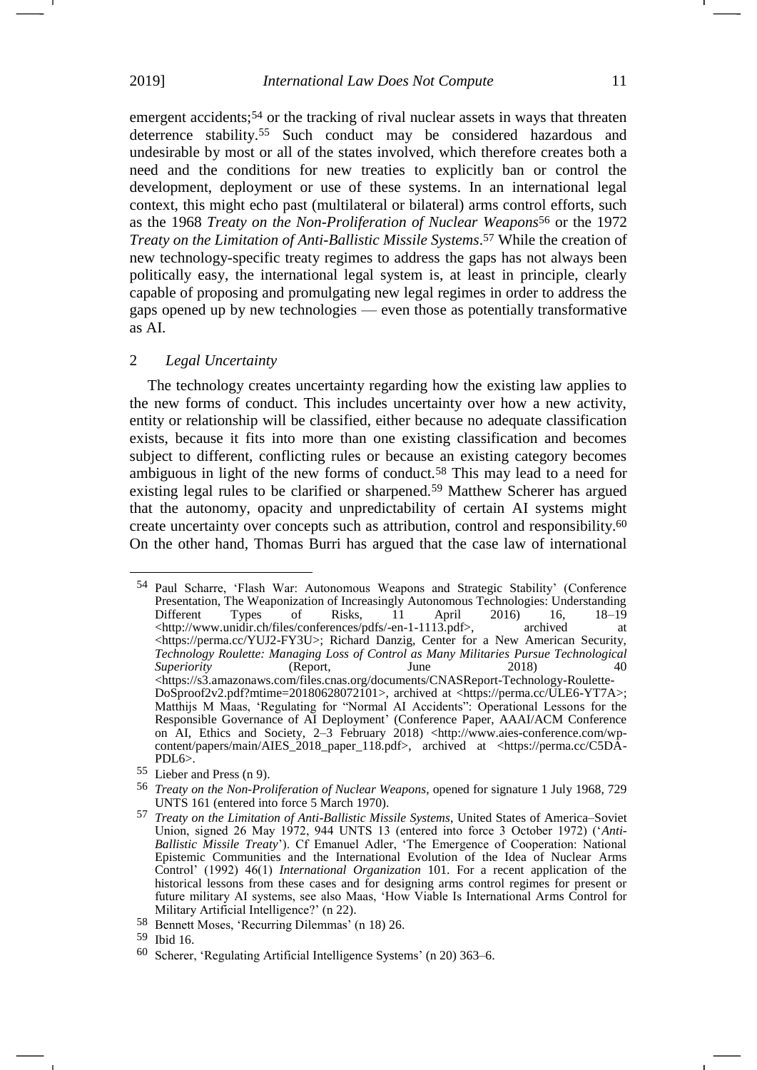emergent accidents;<sup>54</sup> or the tracking of rival nuclear assets in ways that threaten deterrence stability.<sup>55</sup> Such conduct may be considered hazardous and undesirable by most or all of the states involved, which therefore creates both a need and the conditions for new treaties to explicitly ban or control the development, deployment or use of these systems. In an international legal context, this might echo past (multilateral or bilateral) arms control efforts, such as the 1968 *Treaty on the Non-Proliferation of Nuclear Weapons*<sup>56</sup> or the 1972 *Treaty on the Limitation of Anti-Ballistic Missile Systems*. <sup>57</sup> While the creation of new technology-specific treaty regimes to address the gaps has not always been politically easy, the international legal system is, at least in principle, clearly capable of proposing and promulgating new legal regimes in order to address the gaps opened up by new technologies — even those as potentially transformative as AI.

## 2 *Legal Uncertainty*

The technology creates uncertainty regarding how the existing law applies to the new forms of conduct. This includes uncertainty over how a new activity, entity or relationship will be classified, either because no adequate classification exists, because it fits into more than one existing classification and becomes subject to different, conflicting rules or because an existing category becomes ambiguous in light of the new forms of conduct.<sup>58</sup> This may lead to a need for existing legal rules to be clarified or sharpened.<sup>59</sup> Matthew Scherer has argued that the autonomy, opacity and unpredictability of certain AI systems might create uncertainty over concepts such as attribution, control and responsibility. 60 On the other hand, Thomas Burri has argued that the case law of international

<u>.</u>

<span id="page-10-0"></span>-1

<sup>54</sup> Paul Scharre, 'Flash War: Autonomous Weapons and Strategic Stability' (Conference Presentation, The Weaponization of Increasingly Autonomous Technologies: Understanding<br>Different Types of Risks, 11 April 2016) 16, 18–19 Different Types of Risks, 11 April 2016) 16, 18–19  $\langle$ http://www.unidir.ch/files/conferences/pdfs/-en-1-1113.pdf>, archived at [<https://perma.cc/YUJ2-FY3U>](https://perma.cc/YUJ2-FY3U); Richard Danzig, Center for a New American Security, *Technology Roulette: Managing Loss of Control as Many Militaries Pursue Technological Superiority* (Report, June 2018) 40 [<https://s3.amazonaws.com/files.cnas.org/documents/CNASReport-Technology-Roulette-](https://s3.amazonaws.com/files.cnas.org/documents/CNASReport-Technology-Roulette-DoSproof2v2.pdf?mtime=20180628072101)[DoSproof2v2.pdf?mtime=20180628072101>](https://s3.amazonaws.com/files.cnas.org/documents/CNASReport-Technology-Roulette-DoSproof2v2.pdf?mtime=20180628072101), archived at [<https://perma.cc/ULE6-YT7A>](https://perma.cc/ULE6-YT7A); Matthijs M Maas, 'Regulating for "Normal AI Accidents": Operational Lessons for the Responsible Governance of AI Deployment' (Conference Paper, AAAI/ACM Conference on AI, Ethics and Society, 2–3 February 2018) <http://www.aies-conference.com/wpcontent/papers/main/AIES\_2018\_paper\_118.pdf>, archived at <https://perma.cc/C5DA-PDL6>.

<sup>55</sup> Lieber and Press (n [9\)](#page-2-1).

<sup>56</sup> *Treaty on the Non-Proliferation of Nuclear Weapons*, opened for signature 1 July 1968, 729 UNTS 161 (entered into force 5 March 1970).

<sup>57</sup> *Treaty on the Limitation of Anti-Ballistic Missile Systems*, United States of America–Soviet Union, signed 26 May 1972, 944 UNTS 13 (entered into force 3 October 1972) ('*Anti-Ballistic Missile Treaty*'). Cf Emanuel Adler, 'The Emergence of Cooperation: National Epistemic Communities and the International Evolution of the Idea of Nuclear Arms Control' (1992) 46(1) *International Organization* 101. For a recent application of the historical lessons from these cases and for designing arms control regimes for present or future military AI systems, see also Maas, 'How Viable Is International Arms Control for Military Artificial Intelligence?' ([n 22\)](#page-4-1).

<sup>58</sup> Bennett Moses, 'Recurring Dilemmas' (n [18\)](#page-4-0) 26.

<sup>59</sup> Ibid 16.

<sup>60</sup> Scherer, 'Regulating Artificial Intelligence Systems' (n [20\)](#page-4-2) 363–6.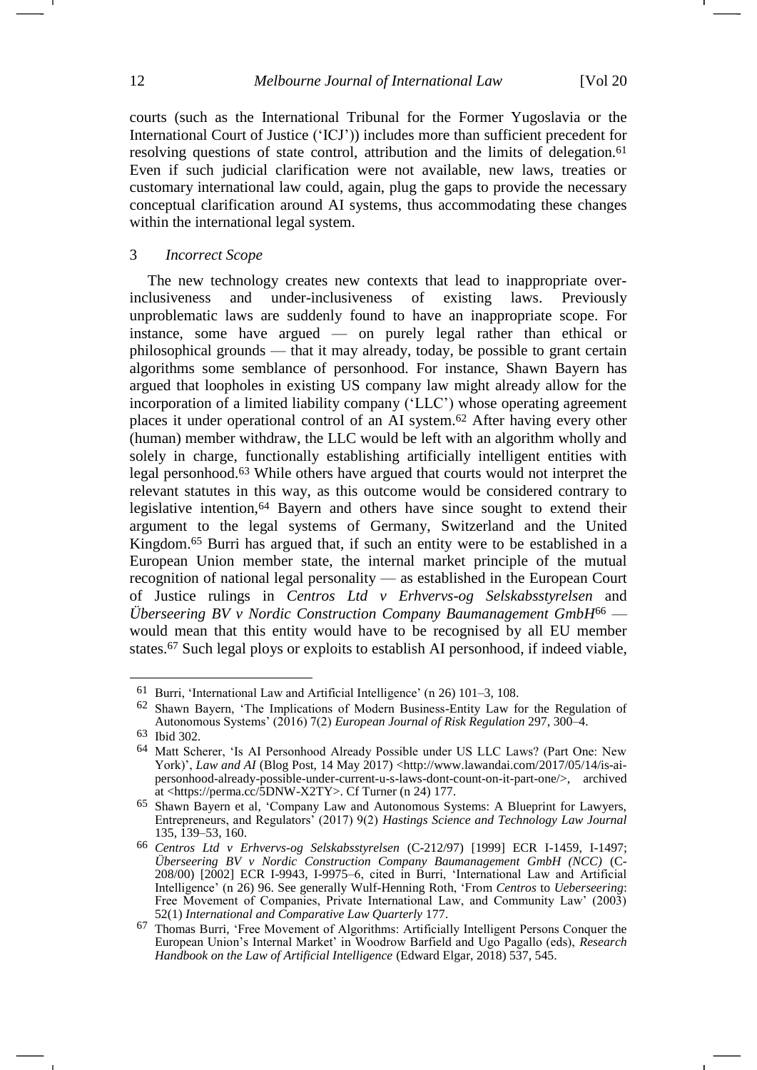courts (such as the International Tribunal for the Former Yugoslavia or the International Court of Justice ('ICJ')) includes more than sufficient precedent for resolving questions of state control, attribution and the limits of delegation.<sup>61</sup> Even if such judicial clarification were not available, new laws, treaties or customary international law could, again, plug the gaps to provide the necessary conceptual clarification around AI systems, thus accommodating these changes within the international legal system.

## 3 *Incorrect Scope*

<span id="page-11-0"></span>The new technology creates new contexts that lead to inappropriate overinclusiveness and under-inclusiveness of existing laws. Previously unproblematic laws are suddenly found to have an inappropriate scope. For instance, some have argued — on purely legal rather than ethical or philosophical grounds — that it may already, today, be possible to grant certain algorithms some semblance of personhood. For instance, Shawn Bayern has argued that loopholes in existing US company law might already allow for the incorporation of a limited liability company ('LLC') whose operating agreement places it under operational control of an AI system.<sup>62</sup> After having every other (human) member withdraw, the LLC would be left with an algorithm wholly and solely in charge, functionally establishing artificially intelligent entities with legal personhood.<sup>63</sup> While others have argued that courts would not interpret the relevant statutes in this way, as this outcome would be considered contrary to legislative intention,<sup>64</sup> Bayern and others have since sought to extend their argument to the legal systems of Germany, Switzerland and the United Kingdom. <sup>65</sup> Burri has argued that, if such an entity were to be established in a European Union member state, the internal market principle of the mutual recognition of national legal personality — as established in the European Court of Justice rulings in *Centros Ltd v Erhvervs-og Selskabsstyrelsen* and *Überseering BV v Nordic Construction Company Baumanagement GmbH*<sup>66</sup> would mean that this entity would have to be recognised by all EU member states.<sup>67</sup> Such legal ploys or exploits to establish AI personhood, if indeed viable,

<span id="page-11-1"></span><sup>61</sup> Burri, 'International Law and Artificial Intelligence' (n [26\)](#page-5-1) 101–3, 108.

<sup>62</sup> Shawn Bayern, 'The Implications of Modern Business-Entity Law for the Regulation of Autonomous Systems' (2016) 7(2) *European Journal of Risk Regulation* 297, 300–4.

<sup>63</sup> Ibid 302.

<sup>64</sup> Matt Scherer, 'Is AI Personhood Already Possible under US LLC Laws? (Part One: New York)', *Law and AI* (Blog Post, 14 May 2017) <http://www.lawandai.com/2017/05/14/is-aipersonhood-already-possible-under-current-u-s-laws-dont-count-on-it-part-one/>, archived at [<https://perma.cc/5DNW-X2TY>](https://perma.cc/5DNW-X2TY). Cf Turner (n [24\)](#page-5-2) 177.

<sup>65</sup> Shawn Bayern et al, 'Company Law and Autonomous Systems: A Blueprint for Lawyers, Entrepreneurs, and Regulators' (2017) 9(2) *Hastings Science and Technology Law Journal* 135, 139–53, 160.

<sup>66</sup> *Centros Ltd v Erhvervs-og Selskabsstyrelsen* (C-212/97) [1999] ECR I-1459, I-1497; *Überseering BV v Nordic Construction Company Baumanagement GmbH (NCC)* (C-208/00) [2002] ECR I-9943, I-9975–6, cited in Burri, 'International Law and Artificial Intelligence' (n [26\)](#page-5-1) 96. See generally Wulf-Henning Roth, 'From *Centros* to *Ueberseering*: Free Movement of Companies, Private International Law, and Community Law' (2003) 52(1) *International and Comparative Law Quarterly* 177.

<sup>67</sup> Thomas Burri, 'Free Movement of Algorithms: Artificially Intelligent Persons Conquer the European Union's Internal Market' in Woodrow Barfield and Ugo Pagallo (eds), *Research Handbook on the Law of Artificial Intelligence* (Edward Elgar, 2018) 537, 545.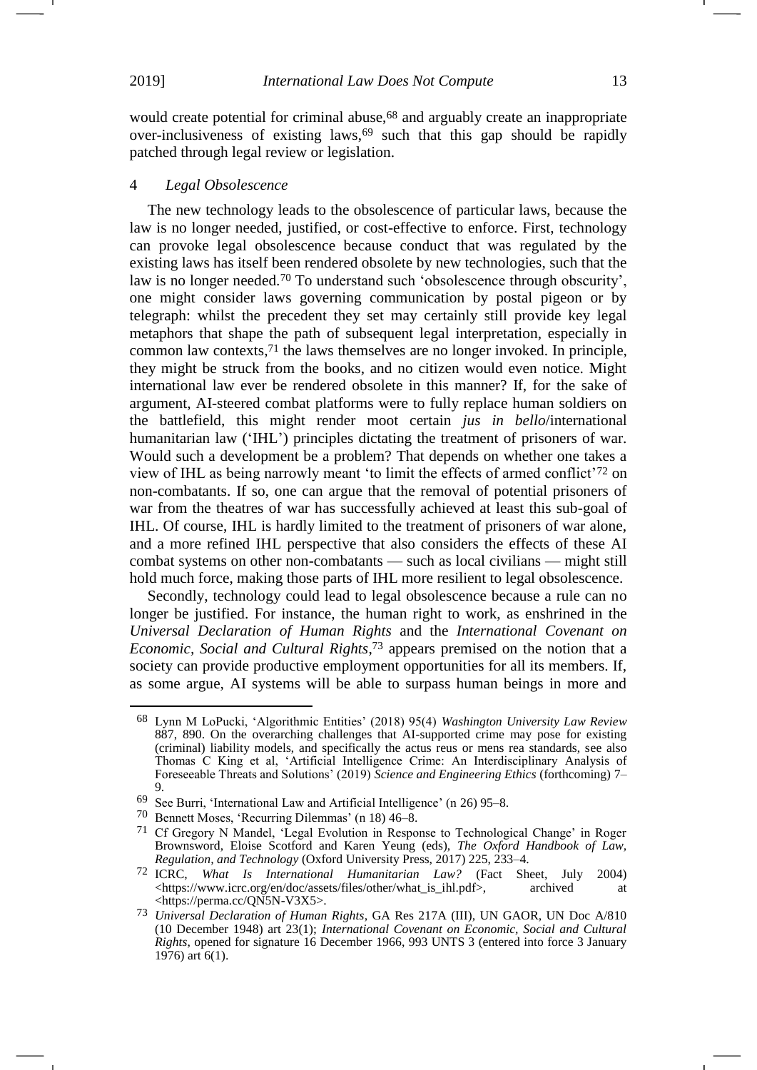<u>.</u>

would create potential for criminal abuse,<sup>68</sup> and arguably create an inappropriate over-inclusiveness of existing laws,<sup>69</sup> such that this gap should be rapidly patched through legal review or legislation.

#### 4 *Legal Obsolescence*

The new technology leads to the obsolescence of particular laws, because the law is no longer needed, justified, or cost-effective to enforce. First, technology can provoke legal obsolescence because conduct that was regulated by the existing laws has itself been rendered obsolete by new technologies, such that the law is no longer needed. <sup>70</sup> To understand such 'obsolescence through obscurity', one might consider laws governing communication by postal pigeon or by telegraph: whilst the precedent they set may certainly still provide key legal metaphors that shape the path of subsequent legal interpretation, especially in common law contexts, <sup>71</sup> the laws themselves are no longer invoked. In principle, they might be struck from the books, and no citizen would even notice. Might international law ever be rendered obsolete in this manner? If, for the sake of argument, AI-steered combat platforms were to fully replace human soldiers on the battlefield, this might render moot certain *jus in bello*/international humanitarian law ('IHL') principles dictating the treatment of prisoners of war. Would such a development be a problem? That depends on whether one takes a view of IHL as being narrowly meant 'to limit the effects of armed conflict'<sup>72</sup> on non-combatants. If so, one can argue that the removal of potential prisoners of war from the theatres of war has successfully achieved at least this sub-goal of IHL. Of course, IHL is hardly limited to the treatment of prisoners of war alone, and a more refined IHL perspective that also considers the effects of these AI combat systems on other non-combatants — such as local civilians — might still hold much force, making those parts of IHL more resilient to legal obsolescence.

Secondly, technology could lead to legal obsolescence because a rule can no longer be justified. For instance, the human right to work, as enshrined in the *Universal Declaration of Human Rights* and the *International Covenant on Economic, Social and Cultural Rights*, <sup>73</sup> appears premised on the notion that a society can provide productive employment opportunities for all its members. If, as some argue, AI systems will be able to surpass human beings in more and -1

<sup>68</sup> Lynn M LoPucki, 'Algorithmic Entities' (2018) 95(4) *Washington University Law Review*  887, 890. On the overarching challenges that AI-supported crime may pose for existing (criminal) liability models, and specifically the actus reus or mens rea standards, see also Thomas C King et al, 'Artificial Intelligence Crime: An Interdisciplinary Analysis of Foreseeable Threats and Solutions' (2019) *Science and Engineering Ethics* (forthcoming) 7– 9.

<sup>69</sup> See Burri, 'International Law and Artificial Intelligence' (n [26\)](#page-5-1) 95–8.

<sup>70</sup> Bennett Moses, 'Recurring Dilemmas' (n [18\)](#page-4-0) 46–8.

<sup>71</sup> Cf Gregory N Mandel, 'Legal Evolution in Response to Technological Change' in Roger Brownsword, Eloise Scotford and Karen Yeung (eds), *The Oxford Handbook of Law, Regulation, and Technology* (Oxford University Press, 2017) 225, 233–4.

<sup>72</sup> ICRC, *What Is International Humanitarian Law?* (Fact Sheet, July 2004) [<https://www.icrc.org/en/doc/assets/files/other/what\\_is\\_ihl.pdf>](https://www.icrc.org/en/doc/assets/files/other/what_is_ihl.pdf), archived at <https://perma.cc/QN5N-V3X5>.

<sup>73</sup> *Universal Declaration of Human Rights*, GA Res 217A (III), UN GAOR, UN Doc A/810 (10 December 1948) art 23(1); *International Covenant on Economic, Social and Cultural Rights*, opened for signature 16 December 1966, 993 UNTS 3 (entered into force 3 January 1976) art 6(1).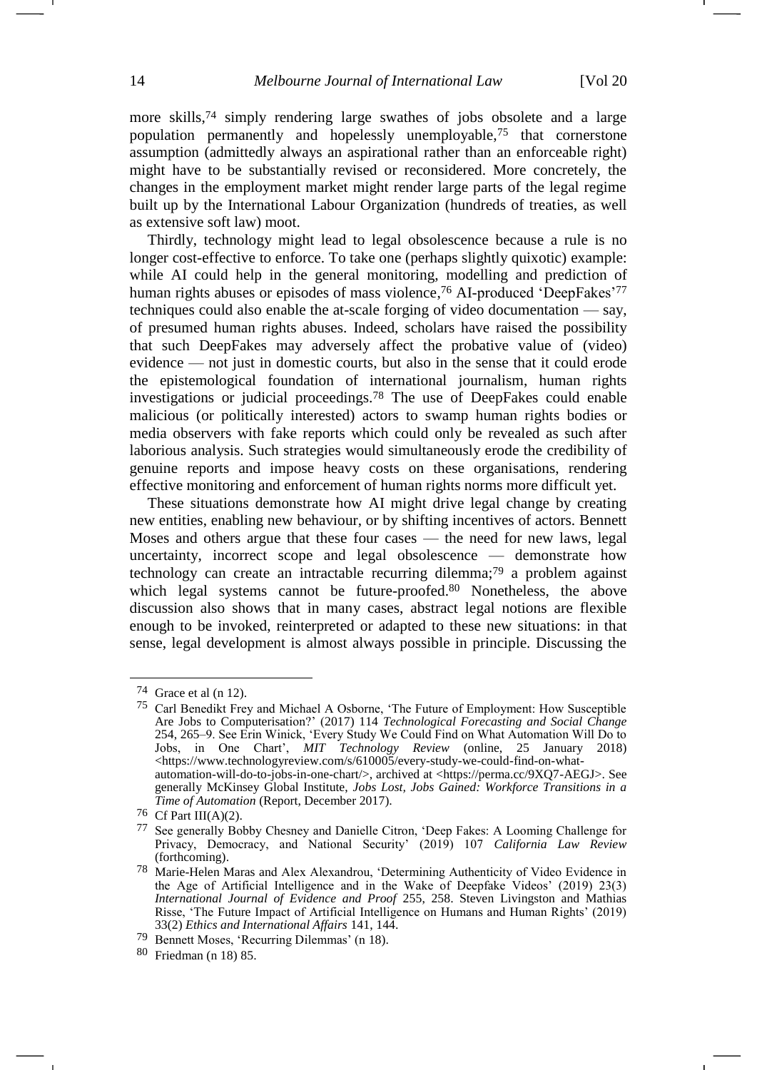more skills,<sup>74</sup> simply rendering large swathes of jobs obsolete and a large population permanently and hopelessly unemployable,<sup>75</sup> that cornerstone assumption (admittedly always an aspirational rather than an enforceable right) might have to be substantially revised or reconsidered. More concretely, the changes in the employment market might render large parts of the legal regime built up by the International Labour Organization (hundreds of treaties, as well as extensive soft law) moot.

Thirdly, technology might lead to legal obsolescence because a rule is no longer cost-effective to enforce. To take one (perhaps slightly quixotic) example: while AI could help in the general monitoring, modelling and prediction of human rights abuses or episodes of mass violence,<sup>76</sup> AI-produced 'DeepFakes'<sup>77</sup> techniques could also enable the at-scale forging of video documentation — say, of presumed human rights abuses. Indeed, scholars have raised the possibility that such DeepFakes may adversely affect the probative value of (video) evidence — not just in domestic courts, but also in the sense that it could erode the epistemological foundation of international journalism, human rights investigations or judicial proceedings. <sup>78</sup> The use of DeepFakes could enable malicious (or politically interested) actors to swamp human rights bodies or media observers with fake reports which could only be revealed as such after laborious analysis. Such strategies would simultaneously erode the credibility of genuine reports and impose heavy costs on these organisations, rendering effective monitoring and enforcement of human rights norms more difficult yet.

<span id="page-13-0"></span>These situations demonstrate how AI might drive legal change by creating new entities, enabling new behaviour, or by shifting incentives of actors. Bennett Moses and others argue that these four cases — the need for new laws, legal uncertainty, incorrect scope and legal obsolescence — demonstrate how technology can create an intractable recurring dilemma; <sup>79</sup> a problem against which legal systems cannot be future-proofed.<sup>80</sup> Nonetheless, the above discussion also shows that in many cases, abstract legal notions are flexible enough to be invoked, reinterpreted or adapted to these new situations: in that sense, legal development is almost always possible in principle. Discussing the

 $74$  Grace et al (n [12\)](#page-2-2).

<sup>75</sup> Carl Benedikt Frey and Michael A Osborne, 'The Future of Employment: How Susceptible Are Jobs to Computerisation?' (2017) 114 *Technological Forecasting and Social Change* 254, 265–9. See Erin Winick, 'Every Study We Could Find on What Automation Will Do to Jobs, in One Chart', *MIT Technology Review* (online, 25 January 2018) <https://www.technologyreview.com/s/610005/every-study-we-could-find-on-whatautomation-will-do-to-jobs-in-one-chart/>, archived at [<https://perma.cc/9XQ7-AEGJ>](https://perma.cc/9XQ7-AEGJ). See generally McKinsey Global Institute, *Jobs Lost, Jobs Gained: Workforce Transitions in a Time of Automation* (Report, December 2017).

<sup>76</sup> Cf Part III(A)(2).

<sup>77</sup> See generally Bobby Chesney and Danielle Citron, 'Deep Fakes: A Looming Challenge for Privacy, Democracy, and National Security' (2019) 107 *California Law Review* (forthcoming).

<sup>78</sup> Marie-Helen Maras and Alex Alexandrou, 'Determining Authenticity of Video Evidence in the Age of Artificial Intelligence and in the Wake of Deepfake Videos' (2019) 23(3) *International Journal of Evidence and Proof* 255, 258. Steven Livingston and Mathias Risse, 'The Future Impact of Artificial Intelligence on Humans and Human Rights' (2019) 33(2) *Ethics and International Affairs* 141, 144.

<sup>79</sup> Bennett Moses, 'Recurring Dilemmas' (n [18\)](#page-4-0).

<sup>80</sup> Friedman (n [18\)](#page-4-0) 85.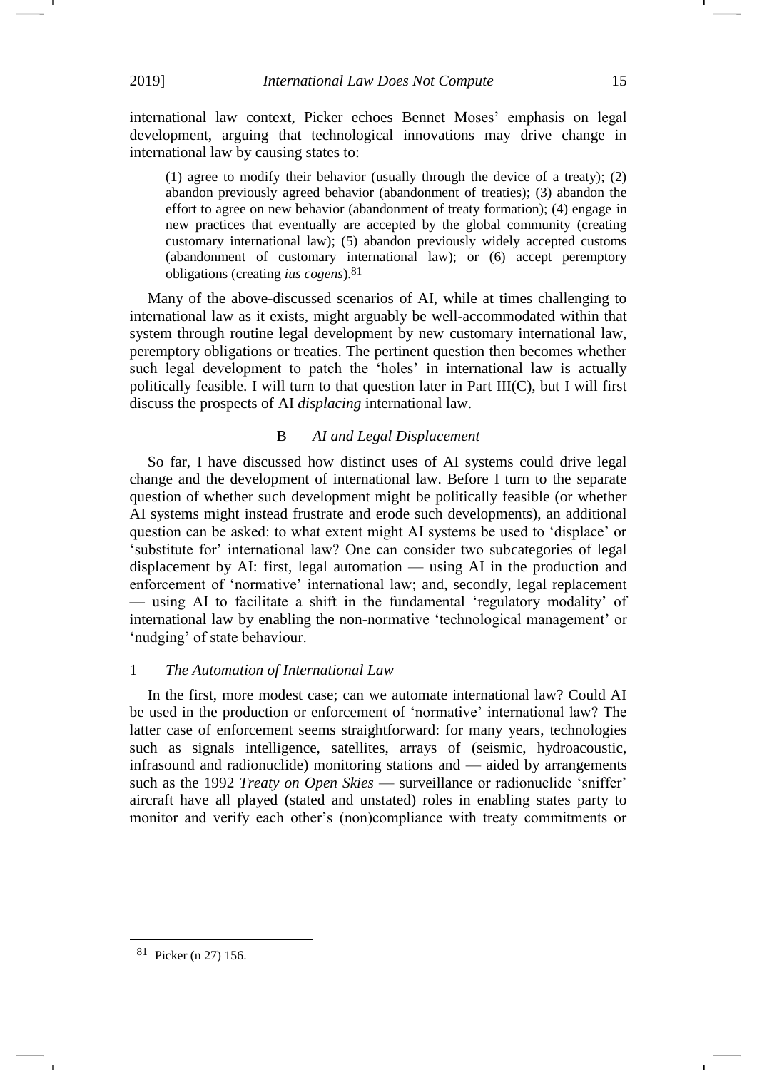international law context, Picker echoes Bennet Moses' emphasis on legal development, arguing that technological innovations may drive change in international law by causing states to:

(1) agree to modify their behavior (usually through the device of a treaty); (2) abandon previously agreed behavior (abandonment of treaties); (3) abandon the effort to agree on new behavior (abandonment of treaty formation); (4) engage in new practices that eventually are accepted by the global community (creating customary international law); (5) abandon previously widely accepted customs (abandonment of customary international law); or (6) accept peremptory obligations (creating *ius cogens*).81

Many of the above-discussed scenarios of AI, while at times challenging to international law as it exists, might arguably be well-accommodated within that system through routine legal development by new customary international law, peremptory obligations or treaties. The pertinent question then becomes whether such legal development to patch the 'holes' in international law is actually politically feasible. I will turn to that question later in Part III(C), but I will first discuss the prospects of AI *displacing* international law.

# B *AI and Legal Displacement*

So far, I have discussed how distinct uses of AI systems could drive legal change and the development of international law. Before I turn to the separate question of whether such development might be politically feasible (or whether AI systems might instead frustrate and erode such developments), an additional question can be asked: to what extent might AI systems be used to 'displace' or 'substitute for' international law? One can consider two subcategories of legal displacement by AI: first, legal automation — using AI in the production and enforcement of 'normative' international law; and, secondly, legal replacement — using AI to facilitate a shift in the fundamental 'regulatory modality' of international law by enabling the non-normative 'technological management' or 'nudging' of state behaviour.

# 1 *The Automation of International Law*

In the first, more modest case; can we automate international law? Could AI be used in the production or enforcement of 'normative' international law? The latter case of enforcement seems straightforward: for many years, technologies such as signals intelligence, satellites, arrays of (seismic, hydroacoustic, infrasound and radionuclide) monitoring stations and — aided by arrangements such as the 1992 *Treaty on Open Skies* — surveillance or radionuclide 'sniffer' aircraft have all played (stated and unstated) roles in enabling states party to monitor and verify each other's (non)compliance with treaty commitments or

1

<sup>81</sup> Picker (n [27\)](#page-5-0) 156.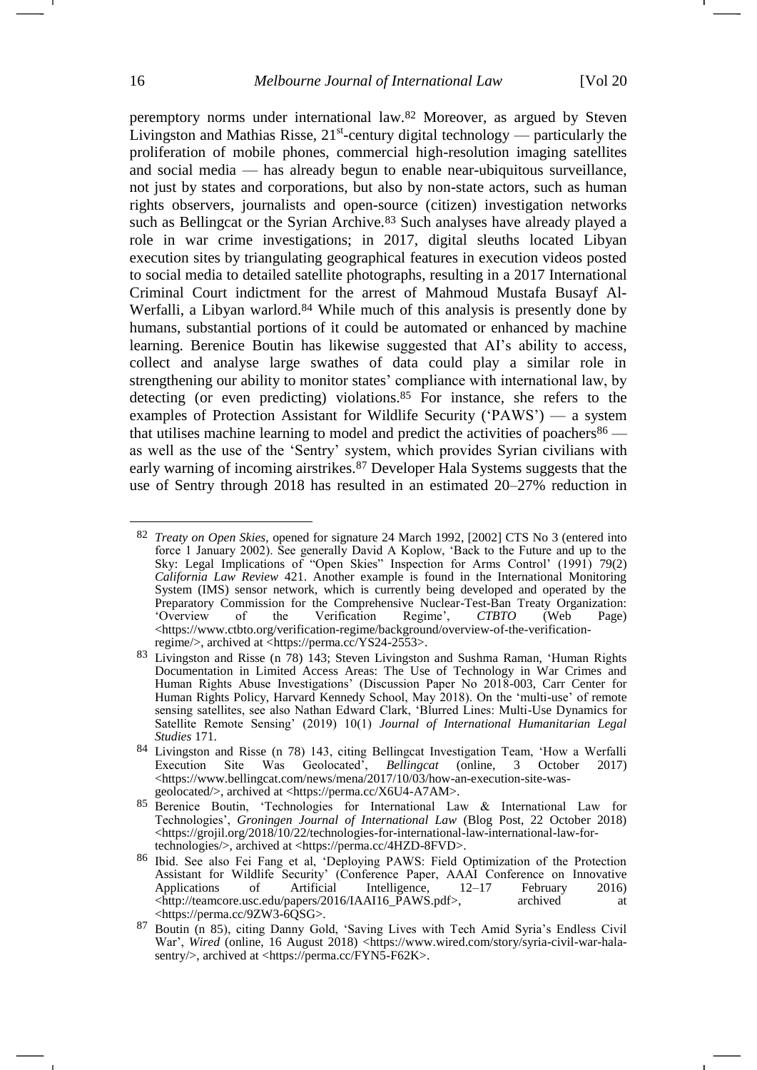peremptory norms under international law.<sup>82</sup> Moreover, as argued by Steven Livingston and Mathias Risse,  $21^{st}$ -century digital technology — particularly the proliferation of mobile phones, commercial high-resolution imaging satellites and social media — has already begun to enable near-ubiquitous surveillance, not just by states and corporations, but also by non-state actors, such as human rights observers, journalists and open-source (citizen) investigation networks such as Bellingcat or the Syrian Archive.<sup>83</sup> Such analyses have already played a role in war crime investigations; in 2017, digital sleuths located Libyan execution sites by triangulating geographical features in execution videos posted to social media to detailed satellite photographs, resulting in a 2017 International Criminal Court indictment for the arrest of Mahmoud Mustafa Busayf Al-Werfalli, a Libyan warlord.<sup>84</sup> While much of this analysis is presently done by humans, substantial portions of it could be automated or enhanced by machine learning. Berenice Boutin has likewise suggested that AI's ability to access, collect and analyse large swathes of data could play a similar role in strengthening our ability to monitor states' compliance with international law, by detecting (or even predicting) violations.<sup>85</sup> For instance, she refers to the examples of Protection Assistant for Wildlife Security ('PAWS') — a system that utilises machine learning to model and predict the activities of poachers $86$  as well as the use of the 'Sentry' system, which provides Syrian civilians with early warning of incoming airstrikes.<sup>87</sup> Developer Hala Systems suggests that the use of Sentry through 2018 has resulted in an estimated 20–27% reduction in

<span id="page-15-0"></span><sup>82</sup> *Treaty on Open Skies*, opened for signature 24 March 1992, [2002] CTS No 3 (entered into force 1 January 2002). See generally David A Koplow, 'Back to the Future and up to the Sky: Legal Implications of "Open Skies" Inspection for Arms Control' (1991) 79(2) *California Law Review* 421. Another example is found in the International Monitoring System (IMS) sensor network, which is currently being developed and operated by the Preparatory Commission for the Comprehensive Nuclear-Test-Ban Treaty Organization:<br>
'Overview of the Verification Regime', CTBTO (Web Page) Verification Regime', *CTBTO* (Web Page) [<https://www.ctbto.org/verification-regime/background/overview-of-the-verification](https://www.ctbto.org/verification-regime/background/overview-of-the-verification-regime/)[regime/>](https://www.ctbto.org/verification-regime/background/overview-of-the-verification-regime/), archived at [<https://perma.cc/YS24-2553>](https://perma.cc/YS24-2553).

<sup>83</sup> Livingston and Risse (n [78\)](#page-13-0) 143; Steven Livingston and Sushma Raman, 'Human Rights Documentation in Limited Access Areas: The Use of Technology in War Crimes and Human Rights Abuse Investigations' (Discussion Paper No 2018-003, Carr Center for Human Rights Policy, Harvard Kennedy School, May 2018). On the 'multi-use' of remote sensing satellites, see also Nathan Edward Clark, 'Blurred Lines: Multi-Use Dynamics for Satellite Remote Sensing' (2019) 10(1) *Journal of International Humanitarian Legal Studies* 171.

<sup>&</sup>lt;sup>84</sup> Livingston and Risse (n [78\)](#page-13-0) 143, citing Bellingcat Investigation Team, 'How a Werfalli Execution Site Was Geolocated', *Bellingcat* (online, 3 October 2017) Execution Site Was Geolocated', *Bellingcat* (online, 3 October 2017) <https://www.bellingcat.com/news/mena/2017/10/03/how-an-execution-site-wasgeolocated/>, archived at [<https://perma.cc/X6U4-A7AM>](https://perma.cc/X6U4-A7AM).

<sup>85</sup> Berenice Boutin, 'Technologies for International Law & International Law for Technologies', *Groningen Journal of International Law* (Blog Post, 22 October 2018) <https://grojil.org/2018/10/22/technologies-for-international-law-international-law-fortechnologies/>, archived at [<https://perma.cc/4HZD-8FVD>](https://perma.cc/4HZD-8FVD).

<sup>86</sup> Ibid. See also Fei Fang et al, 'Deploying PAWS: Field Optimization of the Protection Assistant for Wildlife Security' (Conference Paper, AAAI Conference on Innovative Applications of Artificial Intelligence, 12–17 February 2016) <http://teamcore.usc.edu/papers/2016/IAAI16\_PAWS.pdf>, archived at <https://perma.cc/9ZW3-6QSG>.

<sup>87</sup> Boutin (n [85\)](#page-15-0), citing Danny Gold, 'Saving Lives with Tech Amid Syria's Endless Civil War', Wired (online, 16 August 2018) [<https://www.wired.com/story/syria-civil-war-hala](https://www.wired.com/story/syria-civil-war-hala-sentry/)[sentry/>](https://www.wired.com/story/syria-civil-war-hala-sentry/), archived at [<https://perma.cc/FYN5-F62K>](https://perma.cc/FYN5-F62K).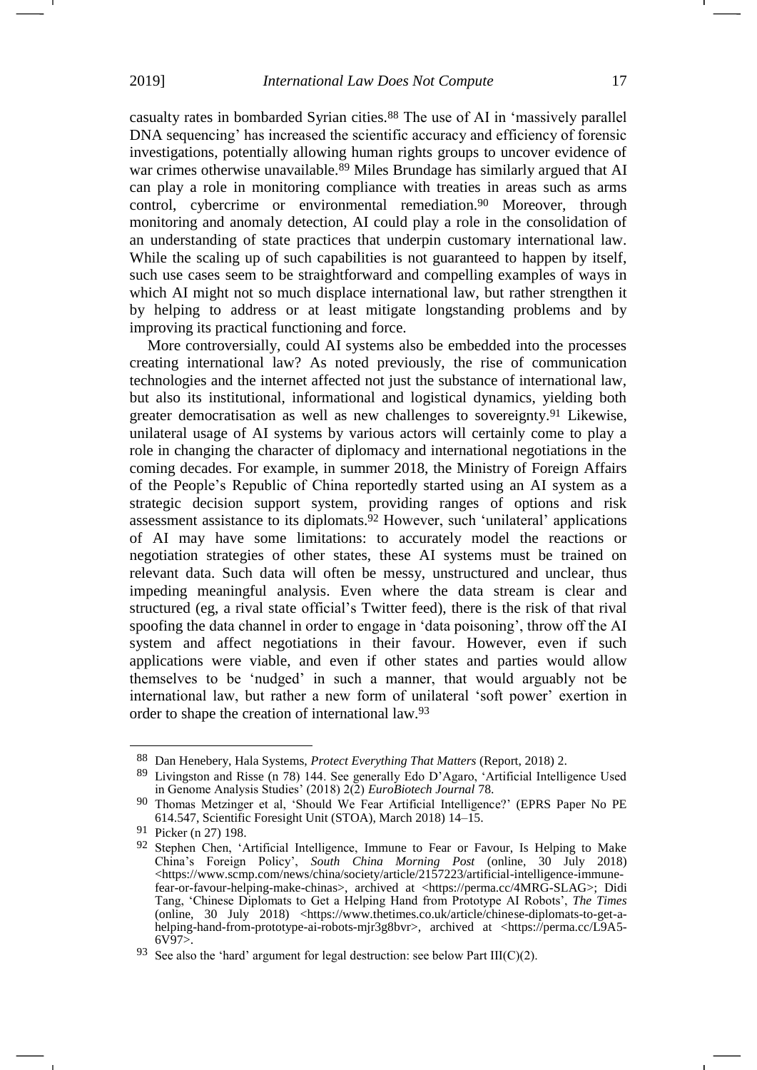casualty rates in bombarded Syrian cities.<sup>88</sup> The use of AI in 'massively parallel DNA sequencing' has increased the scientific accuracy and efficiency of forensic investigations, potentially allowing human rights groups to uncover evidence of war crimes otherwise unavailable.<sup>89</sup> Miles Brundage has similarly argued that AI can play a role in monitoring compliance with treaties in areas such as arms control, cybercrime or environmental remediation.<sup>90</sup> Moreover, through monitoring and anomaly detection, AI could play a role in the consolidation of an understanding of state practices that underpin customary international law. While the scaling up of such capabilities is not guaranteed to happen by itself, such use cases seem to be straightforward and compelling examples of ways in which AI might not so much displace international law, but rather strengthen it by helping to address or at least mitigate longstanding problems and by improving its practical functioning and force.

More controversially, could AI systems also be embedded into the processes creating international law? As noted previously, the rise of communication technologies and the internet affected not just the substance of international law, but also its institutional, informational and logistical dynamics, yielding both greater democratisation as well as new challenges to sovereignty. <sup>91</sup> Likewise, unilateral usage of AI systems by various actors will certainly come to play a role in changing the character of diplomacy and international negotiations in the coming decades. For example, in summer 2018, the Ministry of Foreign Affairs of the People's Republic of China reportedly started using an AI system as a strategic decision support system, providing ranges of options and risk assessment assistance to its diplomats.<sup>92</sup> However, such 'unilateral' applications of AI may have some limitations: to accurately model the reactions or negotiation strategies of other states, these AI systems must be trained on relevant data. Such data will often be messy, unstructured and unclear, thus impeding meaningful analysis. Even where the data stream is clear and structured (eg, a rival state official's Twitter feed), there is the risk of that rival spoofing the data channel in order to engage in 'data poisoning', throw off the AI system and affect negotiations in their favour. However, even if such applications were viable, and even if other states and parties would allow themselves to be 'nudged' in such a manner, that would arguably not be international law, but rather a new form of unilateral 'soft power' exertion in order to shape the creation of international law. 93

<sup>88</sup> Dan Henebery, Hala Systems, *Protect Everything That Matters* (Report, 2018) 2.

<sup>89</sup> Livingston and Risse (n [78\)](#page-13-0) 144. See generally Edo D'Agaro, 'Artificial Intelligence Used in Genome Analysis Studies' (2018) 2(2) *EuroBiotech Journal* 78.

<sup>90</sup> Thomas Metzinger et al, 'Should We Fear Artificial Intelligence?' (EPRS Paper No PE 614.547, Scientific Foresight Unit (STOA), March 2018) 14–15.

<sup>91</sup> Picker (n [27\)](#page-5-0) 198.

<sup>92</sup> Stephen Chen, 'Artificial Intelligence, Immune to Fear or Favour, Is Helping to Make China's Foreign Policy', *South China Morning Post* (online, 30 July 2018)  $\langle$ https://www.scmp.com/news/china/society/article/2157223/artificial-intelligence-immune[fear-or-favour-helping-make-chinas>](https://www.scmp.com/news/china/society/article/2157223/artificial-intelligence-immune-fear-or-favour-helping-make-chinas), archived at [<https://perma.cc/4MRG-SLAG>](https://perma.cc/4MRG-SLAG); Didi Tang, 'Chinese Diplomats to Get a Helping Hand from Prototype AI Robots', *The Times* (online, 30 July 2018) <https://www.thetimes.co.uk/article/chinese-diplomats-to-get-ahelping-hand-from-prototype-ai-robots-mjr3g8bvr>, archived at [<https://perma.cc/L9A5-](https://perma.cc/L9A5-6V97)  $6V\overline{97}$ .

<sup>&</sup>lt;sup>93</sup> See also the 'hard' argument for legal destruction: see below Part III(C)(2).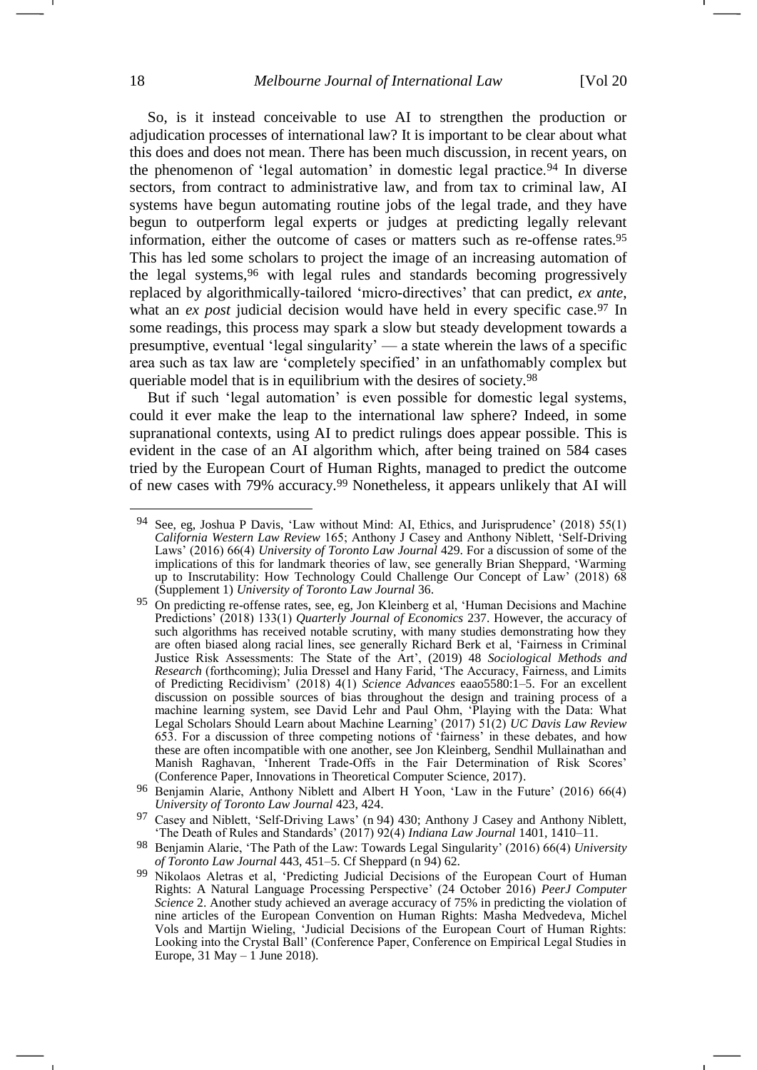<span id="page-17-0"></span>So, is it instead conceivable to use AI to strengthen the production or adjudication processes of international law? It is important to be clear about what this does and does not mean. There has been much discussion, in recent years, on the phenomenon of 'legal automation' in domestic legal practice.<sup>94</sup> In diverse sectors, from contract to administrative law, and from tax to criminal law, AI systems have begun automating routine jobs of the legal trade, and they have begun to outperform legal experts or judges at predicting legally relevant information, either the outcome of cases or matters such as re-offense rates.<sup>95</sup> This has led some scholars to project the image of an increasing automation of the legal systems,<sup>96</sup> with legal rules and standards becoming progressively replaced by algorithmically-tailored 'micro-directives' that can predict, *ex ante*, what an *ex post* judicial decision would have held in every specific case.<sup>97</sup> In some readings, this process may spark a slow but steady development towards a presumptive, eventual 'legal singularity' — a state wherein the laws of a specific area such as tax law are 'completely specified' in an unfathomably complex but queriable model that is in equilibrium with the desires of society.<sup>98</sup>

But if such 'legal automation' is even possible for domestic legal systems, could it ever make the leap to the international law sphere? Indeed, in some supranational contexts, using AI to predict rulings does appear possible. This is evident in the case of an AI algorithm which, after being trained on 584 cases tried by the European Court of Human Rights, managed to predict the outcome of new cases with 79% accuracy.<sup>99</sup> Nonetheless, it appears unlikely that AI will

-

<sup>94</sup> See, eg, Joshua P Davis, 'Law without Mind: AI, Ethics, and Jurisprudence' (2018) 55(1) *California Western Law Review* 165; Anthony J Casey and Anthony Niblett, 'Self-Driving Laws' (2016) 66(4) *University of Toronto Law Journal* 429. For a discussion of some of the implications of this for landmark theories of law, see generally Brian Sheppard, 'Warming up to Inscrutability: How Technology Could Challenge Our Concept of Law' (2018) 68 (Supplement 1) *University of Toronto Law Journal* 36.

<sup>95</sup> On predicting re-offense rates, see, eg, Jon Kleinberg et al, 'Human Decisions and Machine Predictions' (2018) 133(1) *Quarterly Journal of Economics* 237. However, the accuracy of such algorithms has received notable scrutiny, with many studies demonstrating how they are often biased along racial lines, see generally Richard Berk et al, 'Fairness in Criminal Justice Risk Assessments: The State of the Art', (2019) 48 *Sociological Methods and Research* (forthcoming); Julia Dressel and Hany Farid, 'The Accuracy, Fairness, and Limits of Predicting Recidivism' (2018) 4(1) *Science Advances* eaao5580:1–5. For an excellent discussion on possible sources of bias throughout the design and training process of a machine learning system, see David Lehr and Paul Ohm, 'Playing with the Data: What Legal Scholars Should Learn about Machine Learning' (2017) 51(2) *UC Davis Law Review* 653. For a discussion of three competing notions of 'fairness' in these debates, and how these are often incompatible with one another, see Jon Kleinberg, Sendhil Mullainathan and Manish Raghavan, 'Inherent Trade-Offs in the Fair Determination of Risk Scores' (Conference Paper, Innovations in Theoretical Computer Science, 2017).

<sup>96</sup> Benjamin Alarie, Anthony Niblett and Albert H Yoon, 'Law in the Future' (2016) 66(4) *University of Toronto Law Journal* 423, 424.

<sup>&</sup>lt;sup>97</sup> Casey and Niblett, 'Self-Driving Laws' (n [94\)](#page-17-0) 430; Anthony J Casey and Anthony Niblett, 'The Death of Rules and Standards' (2017) 92(4) *Indiana Law Journal* 1401, 1410–11.

<sup>98</sup> Benjamin Alarie, 'The Path of the Law: Towards Legal Singularity' (2016) 66(4) *University of Toronto Law Journal* 443, 451–5. Cf Sheppard (n [94\)](#page-17-0) 62.

<sup>99</sup> Nikolaos Aletras et al, 'Predicting Judicial Decisions of the European Court of Human Rights: A Natural Language Processing Perspective' (24 October 2016) *PeerJ Computer Science* 2. Another study achieved an average accuracy of 75% in predicting the violation of nine articles of the European Convention on Human Rights: Masha Medvedeva, Michel Vols and Martijn Wieling, 'Judicial Decisions of the European Court of Human Rights: Looking into the Crystal Ball' (Conference Paper, Conference on Empirical Legal Studies in Europe, 31 May – 1 June 2018).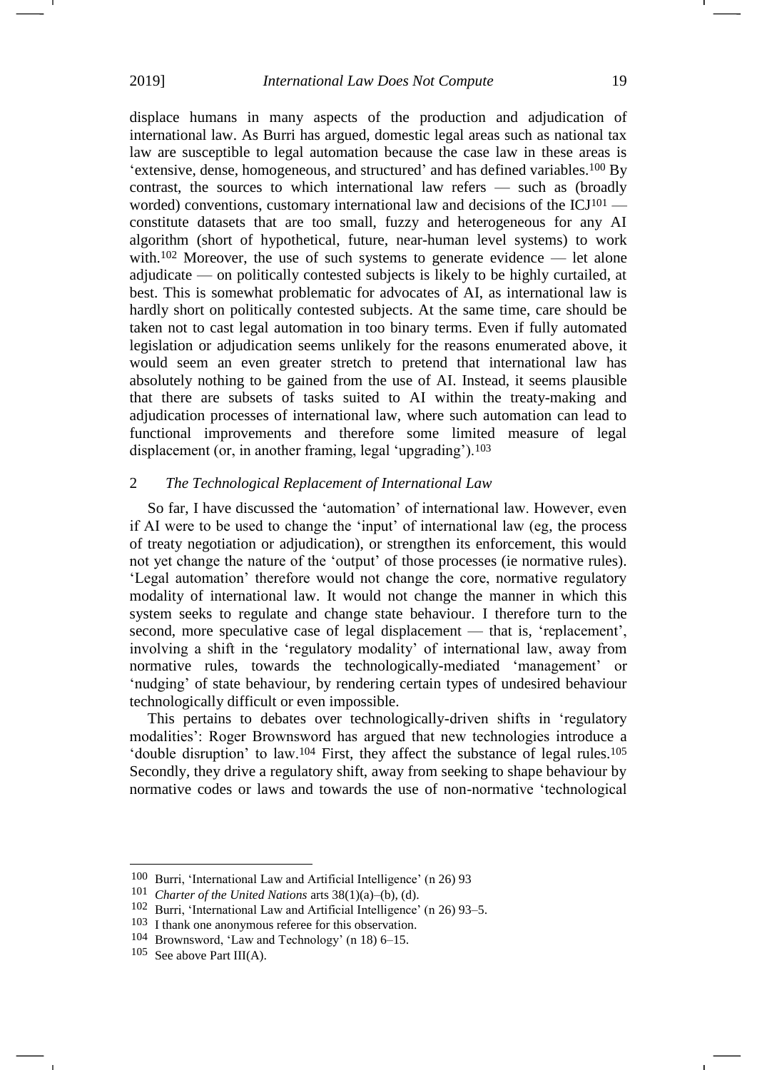displace humans in many aspects of the production and adjudication of international law. As Burri has argued, domestic legal areas such as national tax law are susceptible to legal automation because the case law in these areas is 'extensive, dense, homogeneous, and structured' and has defined variables.<sup>100</sup> By contrast, the sources to which international law refers — such as (broadly worded) conventions, customary international law and decisions of the ICJ<sup>101</sup> constitute datasets that are too small, fuzzy and heterogeneous for any AI algorithm (short of hypothetical, future, near-human level systems) to work with.<sup>102</sup> Moreover, the use of such systems to generate evidence — let alone adjudicate — on politically contested subjects is likely to be highly curtailed, at best. This is somewhat problematic for advocates of AI, as international law is hardly short on politically contested subjects. At the same time, care should be taken not to cast legal automation in too binary terms. Even if fully automated legislation or adjudication seems unlikely for the reasons enumerated above, it would seem an even greater stretch to pretend that international law has absolutely nothing to be gained from the use of AI. Instead, it seems plausible that there are subsets of tasks suited to AI within the treaty-making and adjudication processes of international law, where such automation can lead to functional improvements and therefore some limited measure of legal displacement (or, in another framing, legal 'upgrading').<sup>103</sup>

# 2 *The Technological Replacement of International Law*

So far, I have discussed the 'automation' of international law. However, even if AI were to be used to change the 'input' of international law (eg, the process of treaty negotiation or adjudication), or strengthen its enforcement, this would not yet change the nature of the 'output' of those processes (ie normative rules). 'Legal automation' therefore would not change the core, normative regulatory modality of international law. It would not change the manner in which this system seeks to regulate and change state behaviour. I therefore turn to the second, more speculative case of legal displacement — that is, 'replacement', involving a shift in the 'regulatory modality' of international law, away from normative rules, towards the technologically-mediated 'management' or 'nudging' of state behaviour, by rendering certain types of undesired behaviour technologically difficult or even impossible.

This pertains to debates over technologically-driven shifts in 'regulatory modalities': Roger Brownsword has argued that new technologies introduce a 'double disruption' to law.<sup>104</sup> First, they affect the substance of legal rules.<sup>105</sup> Secondly, they drive a regulatory shift, away from seeking to shape behaviour by normative codes or laws and towards the use of non-normative 'technological

<sup>100</sup> Burri, 'International Law and Artificial Intelligence' (n [26\)](#page-5-1) 93

<sup>101</sup> *Charter of the United Nations* arts 38(1)(a)–(b), (d).

<sup>102</sup> Burri, 'International Law and Artificial Intelligence' (n [26\)](#page-5-1) 93–5.

<sup>103</sup> I thank one anonymous referee for this observation.

<sup>104</sup> Brownsword, 'Law and Technology' (n [18\)](#page-4-0) 6–15.

 $105$  See above Part III(A).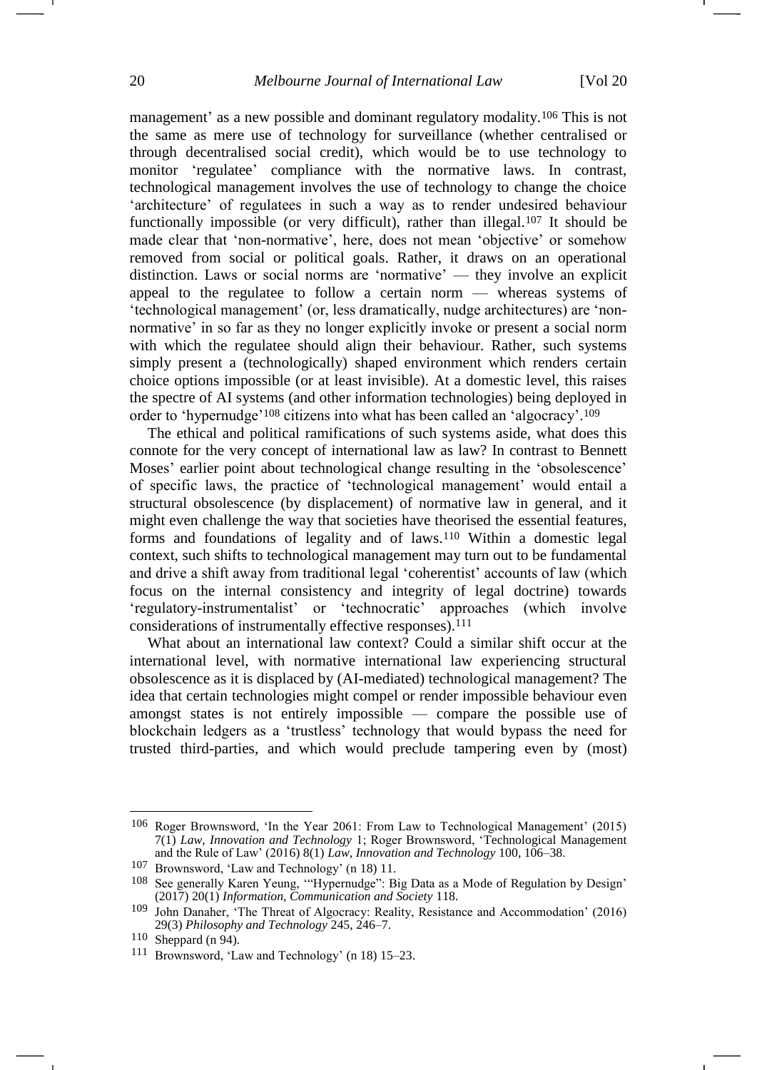management' as a new possible and dominant regulatory modality.<sup>106</sup> This is not the same as mere use of technology for surveillance (whether centralised or through decentralised social credit), which would be to use technology to monitor 'regulatee' compliance with the normative laws. In contrast, technological management involves the use of technology to change the choice 'architecture' of regulatees in such a way as to render undesired behaviour functionally impossible (or very difficult), rather than illegal.<sup>107</sup> It should be made clear that 'non-normative', here, does not mean 'objective' or somehow removed from social or political goals. Rather, it draws on an operational distinction. Laws or social norms are 'normative' — they involve an explicit appeal to the regulatee to follow a certain norm — whereas systems of 'technological management' (or, less dramatically, nudge architectures) are 'nonnormative' in so far as they no longer explicitly invoke or present a social norm with which the regulatee should align their behaviour. Rather, such systems simply present a (technologically) shaped environment which renders certain choice options impossible (or at least invisible). At a domestic level, this raises the spectre of AI systems (and other information technologies) being deployed in order to 'hypernudge'<sup>108</sup> citizens into what has been called an 'algocracy'.<sup>109</sup>

The ethical and political ramifications of such systems aside, what does this connote for the very concept of international law as law? In contrast to Bennett Moses' earlier point about technological change resulting in the 'obsolescence' of specific laws, the practice of 'technological management' would entail a structural obsolescence (by displacement) of normative law in general, and it might even challenge the way that societies have theorised the essential features, forms and foundations of legality and of laws.<sup>110</sup> Within a domestic legal context, such shifts to technological management may turn out to be fundamental and drive a shift away from traditional legal 'coherentist' accounts of law (which focus on the internal consistency and integrity of legal doctrine) towards 'regulatory-instrumentalist' or 'technocratic' approaches (which involve considerations of instrumentally effective responses).<sup>111</sup>

What about an international law context? Could a similar shift occur at the international level, with normative international law experiencing structural obsolescence as it is displaced by (AI-mediated) technological management? The idea that certain technologies might compel or render impossible behaviour even amongst states is not entirely impossible — compare the possible use of blockchain ledgers as a 'trustless' technology that would bypass the need for trusted third-parties, and which would preclude tampering even by (most)

<sup>106</sup> Roger Brownsword, 'In the Year 2061: From Law to Technological Management' (2015) 7(1) *Law, Innovation and Technology* 1; Roger Brownsword, 'Technological Management and the Rule of Law' (2016) 8(1) *Law, Innovation and Technology* 100, 106–38.

<sup>107</sup> Brownsword, 'Law and Technology' (n [18\)](#page-4-0) 11.

<sup>108</sup> See generally Karen Yeung, '"Hypernudge": Big Data as a Mode of Regulation by Design' (2017) 20(1) *Information, Communication and Society* 118.

<sup>109</sup> John Danaher, 'The Threat of Algocracy: Reality, Resistance and Accommodation' (2016) 29(3) *Philosophy and Technology* 245, 246–7.

<sup>110</sup> Sheppard (n [94\)](#page-17-0).

<sup>111</sup> Brownsword, 'Law and Technology' (n [18\)](#page-4-0) 15–23.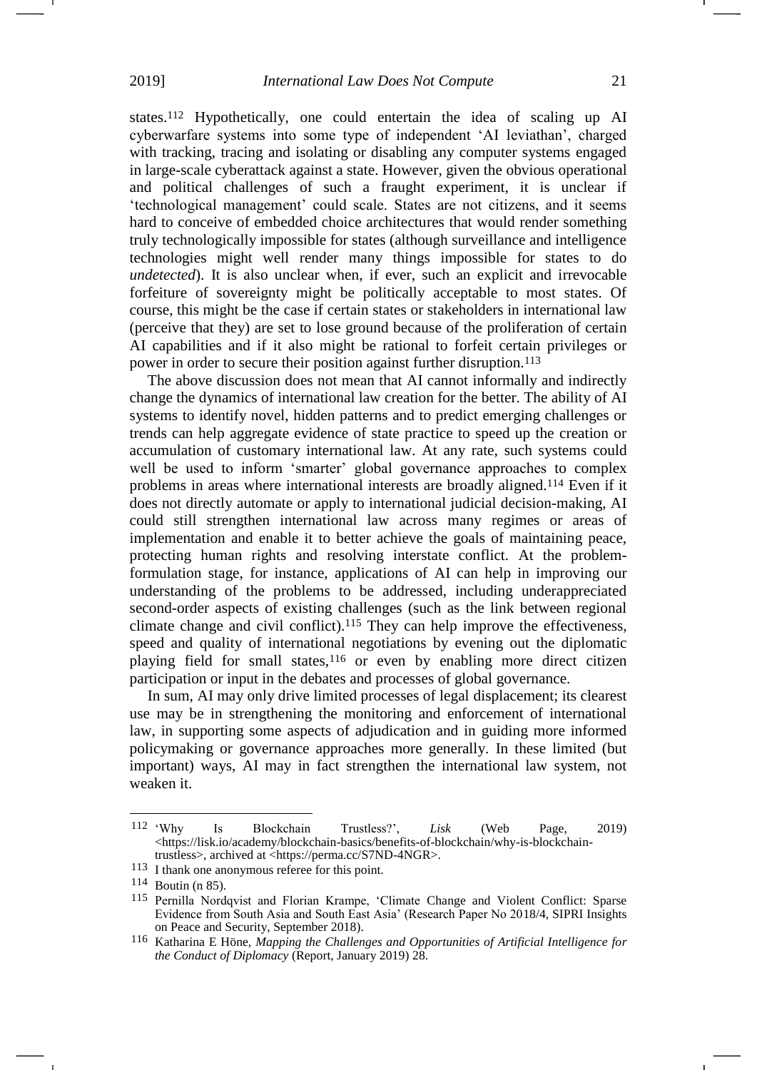states.<sup>112</sup> Hypothetically, one could entertain the idea of scaling up AI cyberwarfare systems into some type of independent 'AI leviathan', charged with tracking, tracing and isolating or disabling any computer systems engaged in large-scale cyberattack against a state. However, given the obvious operational and political challenges of such a fraught experiment, it is unclear if 'technological management' could scale. States are not citizens, and it seems hard to conceive of embedded choice architectures that would render something truly technologically impossible for states (although surveillance and intelligence technologies might well render many things impossible for states to do *undetected*). It is also unclear when, if ever, such an explicit and irrevocable forfeiture of sovereignty might be politically acceptable to most states. Of course, this might be the case if certain states or stakeholders in international law (perceive that they) are set to lose ground because of the proliferation of certain AI capabilities and if it also might be rational to forfeit certain privileges or power in order to secure their position against further disruption.<sup>113</sup>

The above discussion does not mean that AI cannot informally and indirectly change the dynamics of international law creation for the better. The ability of AI systems to identify novel, hidden patterns and to predict emerging challenges or trends can help aggregate evidence of state practice to speed up the creation or accumulation of customary international law. At any rate, such systems could well be used to inform 'smarter' global governance approaches to complex problems in areas where international interests are broadly aligned.<sup>114</sup> Even if it does not directly automate or apply to international judicial decision-making, AI could still strengthen international law across many regimes or areas of implementation and enable it to better achieve the goals of maintaining peace, protecting human rights and resolving interstate conflict. At the problemformulation stage, for instance, applications of AI can help in improving our understanding of the problems to be addressed, including underappreciated second-order aspects of existing challenges (such as the link between regional climate change and civil conflict).<sup>115</sup> They can help improve the effectiveness, speed and quality of international negotiations by evening out the diplomatic playing field for small states,<sup>116</sup> or even by enabling more direct citizen participation or input in the debates and processes of global governance.

In sum, AI may only drive limited processes of legal displacement; its clearest use may be in strengthening the monitoring and enforcement of international law, in supporting some aspects of adjudication and in guiding more informed policymaking or governance approaches more generally. In these limited (but important) ways, AI may in fact strengthen the international law system, not weaken it.

<sup>112</sup>  $W$ hy 112 'Why Is Blockchain Trustless?', *Lisk* (Web Page, 2019) <https://lisk.io/academy/blockchain-basics/benefits-of-blockchain/why-is-blockchaintrustless>, archived at [<https://perma.cc/S7ND-4NGR>](https://perma.cc/S7ND-4NGR).

<sup>113</sup> I thank one anonymous referee for this point.

<sup>114</sup> Boutin (n [85\)](#page-15-0).

<sup>115</sup> Pernilla Nordqvist and Florian Krampe, 'Climate Change and Violent Conflict: Sparse Evidence from South Asia and South East Asia' (Research Paper No 2018/4, SIPRI Insights on Peace and Security, September 2018).

<sup>116</sup> Katharina E Höne, *Mapping the Challenges and Opportunities of Artificial Intelligence for the Conduct of Diplomacy* (Report, January 2019) 28.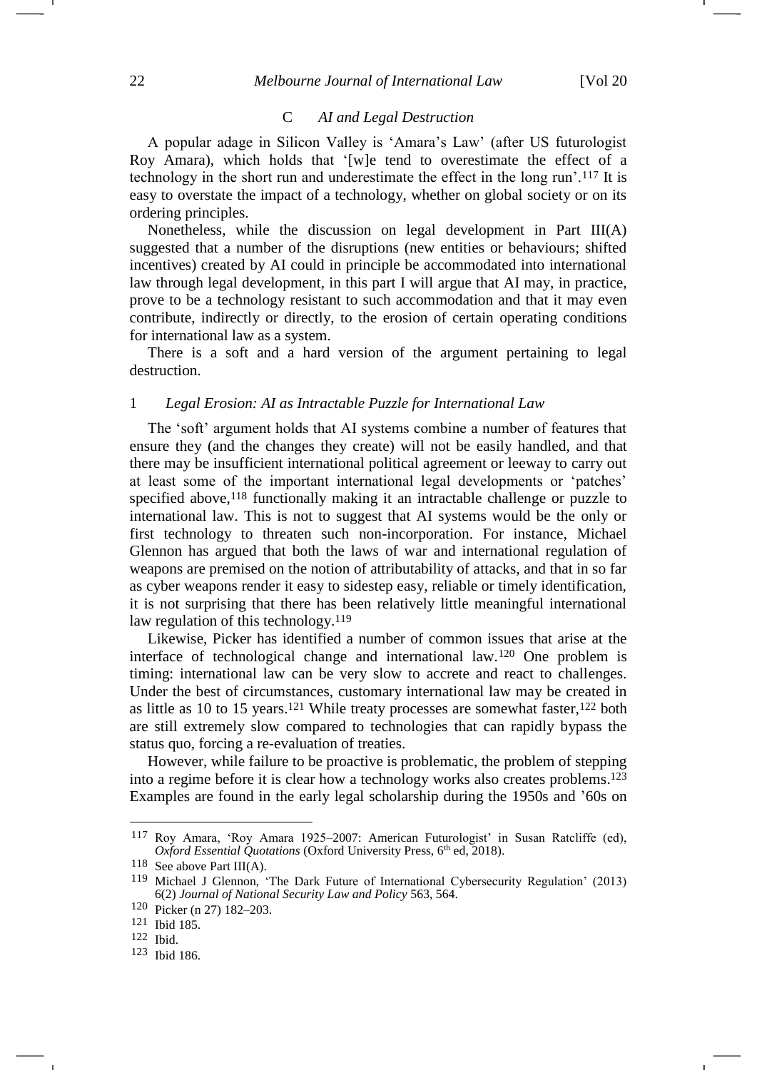## C *AI and Legal Destruction*

A popular adage in Silicon Valley is 'Amara's Law' (after US futurologist Roy Amara), which holds that '[w]e tend to overestimate the effect of a technology in the short run and underestimate the effect in the long run'.<sup>117</sup> It is easy to overstate the impact of a technology, whether on global society or on its ordering principles.

Nonetheless, while the discussion on legal development in Part III(A) suggested that a number of the disruptions (new entities or behaviours; shifted incentives) created by AI could in principle be accommodated into international law through legal development, in this part I will argue that AI may, in practice, prove to be a technology resistant to such accommodation and that it may even contribute, indirectly or directly, to the erosion of certain operating conditions for international law as a system.

There is a soft and a hard version of the argument pertaining to legal destruction.

#### 1 *Legal Erosion: AI as Intractable Puzzle for International Law*

The 'soft' argument holds that AI systems combine a number of features that ensure they (and the changes they create) will not be easily handled, and that there may be insufficient international political agreement or leeway to carry out at least some of the important international legal developments or 'patches' specified above, <sup>118</sup> functionally making it an intractable challenge or puzzle to international law. This is not to suggest that AI systems would be the only or first technology to threaten such non-incorporation. For instance, Michael Glennon has argued that both the laws of war and international regulation of weapons are premised on the notion of attributability of attacks, and that in so far as cyber weapons render it easy to sidestep easy, reliable or timely identification, it is not surprising that there has been relatively little meaningful international law regulation of this technology.<sup>119</sup>

<span id="page-21-0"></span>Likewise, Picker has identified a number of common issues that arise at the interface of technological change and international law.<sup>120</sup> One problem is timing: international law can be very slow to accrete and react to challenges. Under the best of circumstances, customary international law may be created in as little as 10 to 15 years.<sup>121</sup> While treaty processes are somewhat faster,<sup>122</sup> both are still extremely slow compared to technologies that can rapidly bypass the status quo, forcing a re-evaluation of treaties.

However, while failure to be proactive is problematic, the problem of stepping into a regime before it is clear how a technology works also creates problems. 123 Examples are found in the early legal scholarship during the 1950s and '60s on

<sup>117</sup> Roy Amara, 'Roy Amara 1925–2007: American Futurologist' in Susan Ratcliffe (ed), *Oxford Essential Quotations* (Oxford University Press, 6<sup>th</sup> ed, 2018).

<sup>118</sup> See above Part III(A).

<sup>119</sup> Michael J Glennon, 'The Dark Future of International Cybersecurity Regulation' (2013) 6(2) *Journal of National Security Law and Policy* 563, 564.

<sup>120</sup> Picker (n [27\)](#page-5-0) 182–203.

<sup>121</sup> Ibid 185.

<sup>122</sup> Ibid.

<sup>123</sup> Ibid 186.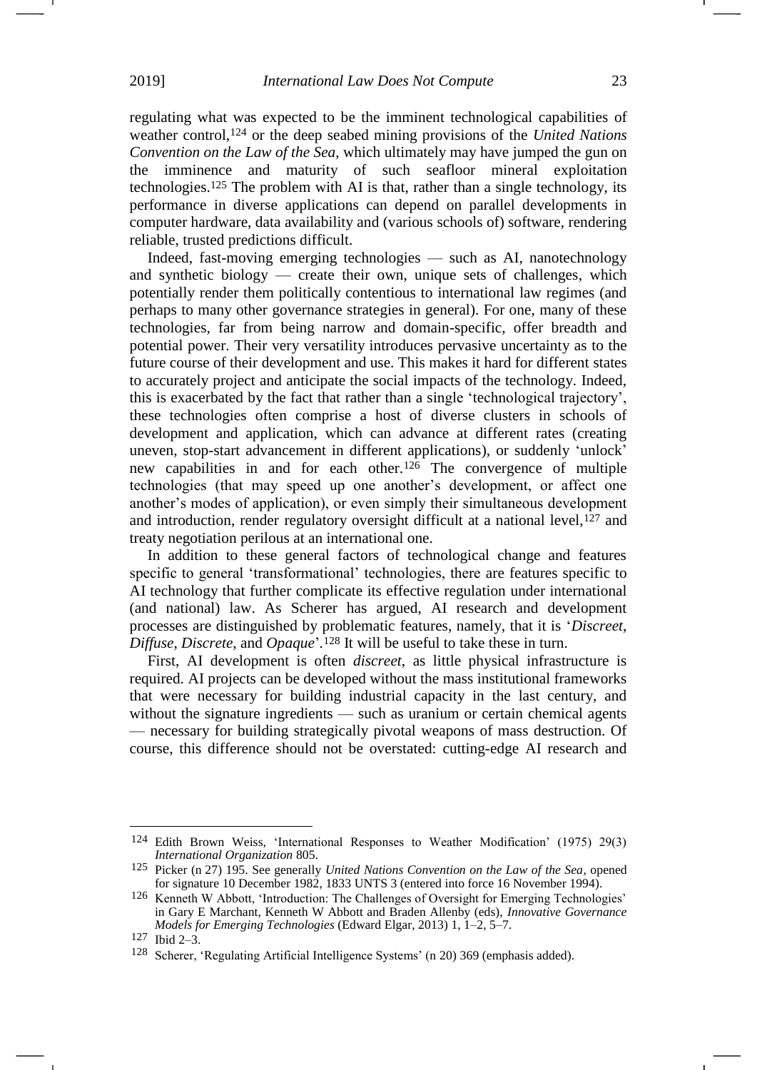regulating what was expected to be the imminent technological capabilities of weather control,<sup>124</sup> or the deep seabed mining provisions of the *United Nations Convention on the Law of the Sea*, which ultimately may have jumped the gun on the imminence and maturity of such seafloor mineral exploitation technologies. <sup>125</sup> The problem with AI is that, rather than a single technology, its performance in diverse applications can depend on parallel developments in computer hardware, data availability and (various schools of) software, rendering reliable, trusted predictions difficult.

Indeed, fast-moving emerging technologies — such as AI, nanotechnology and synthetic biology — create their own, unique sets of challenges, which potentially render them politically contentious to international law regimes (and perhaps to many other governance strategies in general). For one, many of these technologies, far from being narrow and domain-specific, offer breadth and potential power. Their very versatility introduces pervasive uncertainty as to the future course of their development and use. This makes it hard for different states to accurately project and anticipate the social impacts of the technology. Indeed, this is exacerbated by the fact that rather than a single 'technological trajectory', these technologies often comprise a host of diverse clusters in schools of development and application, which can advance at different rates (creating uneven, stop-start advancement in different applications), or suddenly 'unlock' new capabilities in and for each other.<sup>126</sup> The convergence of multiple technologies (that may speed up one another's development, or affect one another's modes of application), or even simply their simultaneous development and introduction, render regulatory oversight difficult at a national level,<sup>127</sup> and treaty negotiation perilous at an international one.

In addition to these general factors of technological change and features specific to general 'transformational' technologies, there are features specific to AI technology that further complicate its effective regulation under international (and national) law. As Scherer has argued, AI research and development processes are distinguished by problematic features, namely, that it is '*Discreet*, *Diffuse*, *Discrete*, and *Opaque*'*.* <sup>128</sup> It will be useful to take these in turn.

First, AI development is often *discreet*, as little physical infrastructure is required. AI projects can be developed without the mass institutional frameworks that were necessary for building industrial capacity in the last century, and without the signature ingredients — such as uranium or certain chemical agents — necessary for building strategically pivotal weapons of mass destruction. Of course, this difference should not be overstated: cutting-edge AI research and

<sup>124</sup> Edith Brown Weiss, 'International Responses to Weather Modification' (1975) 29(3) *International Organization* 805.

<sup>125</sup> Picker (n [27\)](#page-5-0) 195. See generally *United Nations Convention on the Law of the Sea*, opened for signature 10 December 1982, 1833 UNTS 3 (entered into force 16 November 1994).

<sup>126</sup> Kenneth W Abbott, 'Introduction: The Challenges of Oversight for Emerging Technologies' in Gary E Marchant, Kenneth W Abbott and Braden Allenby (eds), *Innovative Governance Models for Emerging Technologies* (Edward Elgar, 2013) 1, 1–2, 5–7.

<sup>127</sup> Ibid 2–3.

<sup>128</sup> Scherer, 'Regulating Artificial Intelligence Systems' (n [20\)](#page-4-2) 369 (emphasis added).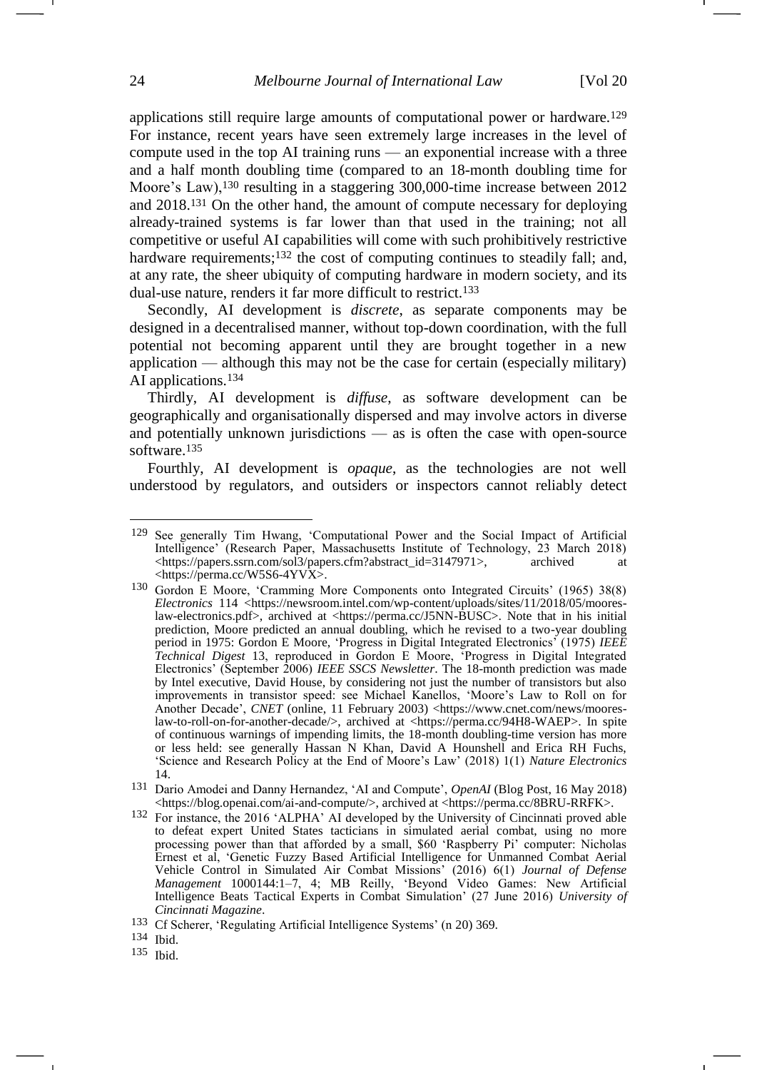applications still require large amounts of computational power or hardware.<sup>129</sup> For instance, recent years have seen extremely large increases in the level of compute used in the top AI training runs — an exponential increase with a three and a half month doubling time (compared to an 18-month doubling time for Moore's Law),<sup>130</sup> resulting in a staggering 300,000-time increase between 2012 and 2018.<sup>131</sup> On the other hand, the amount of compute necessary for deploying already-trained systems is far lower than that used in the training; not all competitive or useful AI capabilities will come with such prohibitively restrictive hardware requirements;<sup>132</sup> the cost of computing continues to steadily fall; and, at any rate, the sheer ubiquity of computing hardware in modern society, and its dual-use nature, renders it far more difficult to restrict.<sup>133</sup>

Secondly, AI development is *discrete*, as separate components may be designed in a decentralised manner, without top-down coordination, with the full potential not becoming apparent until they are brought together in a new application — although this may not be the case for certain (especially military) AI applications.<sup>134</sup>

Thirdly, AI development is *diffuse*, as software development can be geographically and organisationally dispersed and may involve actors in diverse and potentially unknown jurisdictions — as is often the case with open-source software.<sup>135</sup>

Fourthly, AI development is *opaque*, as the technologies are not well understood by regulators, and outsiders or inspectors cannot reliably detect

134 Ibid.

-

<sup>129</sup> See generally Tim Hwang, 'Computational Power and the Social Impact of Artificial Intelligence' (Research Paper, Massachusetts Institute of Technology, 23 March 2018)<br>
<https://papers.ssrn.com/sol3/papers.cfm?abstract id=3147971>, archived at [<https://papers.ssrn.com/sol3/papers.cfm?abstract\\_id=3147971>](https://papers.ssrn.com/sol3/papers.cfm?abstract_id=3147971), archived at <https://perma.cc/W5S6-4YVX>.

<sup>130</sup> Gordon E Moore, 'Cramming More Components onto Integrated Circuits' (1965) 38(8) *Electronics* 114 [<https://newsroom.intel.com/wp-content/uploads/sites/11/2018/05/moores](https://newsroom.intel.com/wp-content/uploads/sites/11/2018/05/moores-law-electronics.pdf)[law-electronics.pdf>](https://newsroom.intel.com/wp-content/uploads/sites/11/2018/05/moores-law-electronics.pdf), archived at <https://perma.cc/J5NN-BUSC>. Note that in his initial prediction, Moore predicted an annual doubling, which he revised to a two-year doubling period in 1975: Gordon E Moore, 'Progress in Digital Integrated Electronics' (1975) *IEEE Technical Digest* 13, reproduced in Gordon E Moore, 'Progress in Digital Integrated Electronics' (September 2006) *IEEE SSCS Newsletter*. The 18-month prediction was made by Intel executive, David House, by considering not just the number of transistors but also improvements in transistor speed: see Michael Kanellos, 'Moore's Law to Roll on for Another Decade', *CNET* (online, 11 February 2003) [<https://www.cnet.com/news/moores](https://www.cnet.com/news/moores-law-to-roll-on-for-another-decade/)[law-to-roll-on-for-another-decade/>](https://www.cnet.com/news/moores-law-to-roll-on-for-another-decade/), archived at [<https://perma.cc/94H8-WAEP>](https://perma.cc/94H8-WAEP). In spite of continuous warnings of impending limits, the 18-month doubling-time version has more or less held: see generally Hassan N Khan, David A Hounshell and Erica RH Fuchs, 'Science and Research Policy at the End of Moore's Law' (2018) 1(1) *Nature Electronics* 14.

<sup>131</sup> Dario Amodei and Danny Hernandez, 'AI and Compute', *OpenAI* (Blog Post, 16 May 2018) <https://blog.openai.com/ai-and-compute/>, archived at [<https://perma.cc/8BRU-RRFK>](https://perma.cc/8BRU-RRFK).

<sup>132</sup> For instance, the 2016 'ALPHA' AI developed by the University of Cincinnati proved able to defeat expert United States tacticians in simulated aerial combat, using no more processing power than that afforded by a small, \$60 'Raspberry Pi' computer: Nicholas Ernest et al, 'Genetic Fuzzy Based Artificial Intelligence for Unmanned Combat Aerial Vehicle Control in Simulated Air Combat Missions' (2016) 6(1) *Journal of Defense Management* 1000144:1–7, 4; MB Reilly, 'Beyond Video Games: New Artificial Intelligence Beats Tactical Experts in Combat Simulation' (27 June 2016) *University of Cincinnati Magazine*.

<sup>133</sup> Cf Scherer, 'Regulating Artificial Intelligence Systems' (n [20\)](#page-4-2) 369.

<sup>135</sup> Ibid.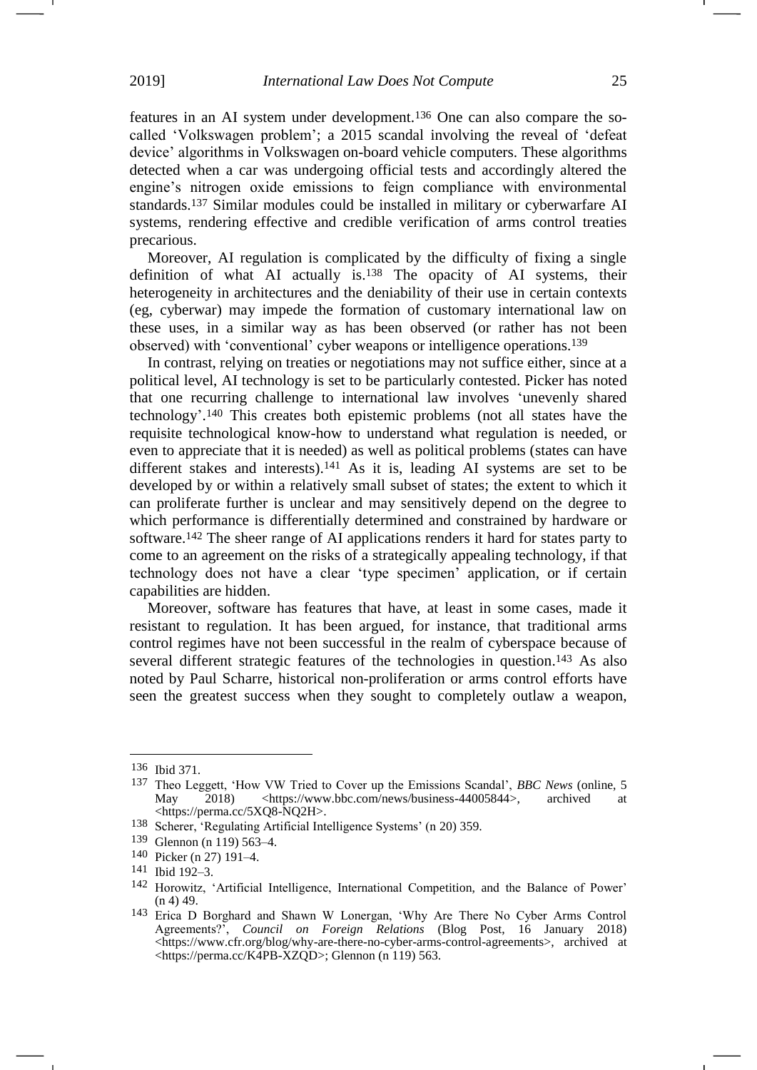features in an AI system under development.<sup>136</sup> One can also compare the socalled 'Volkswagen problem'; a 2015 scandal involving the reveal of 'defeat device' algorithms in Volkswagen on-board vehicle computers. These algorithms detected when a car was undergoing official tests and accordingly altered the engine's nitrogen oxide emissions to feign compliance with environmental standards.<sup>137</sup> Similar modules could be installed in military or cyberwarfare AI systems, rendering effective and credible verification of arms control treaties precarious.

Moreover, AI regulation is complicated by the difficulty of fixing a single definition of what AI actually is.<sup>138</sup> The opacity of AI systems, their heterogeneity in architectures and the deniability of their use in certain contexts (eg, cyberwar) may impede the formation of customary international law on these uses, in a similar way as has been observed (or rather has not been observed) with 'conventional' cyber weapons or intelligence operations.<sup>139</sup>

In contrast, relying on treaties or negotiations may not suffice either, since at a political level, AI technology is set to be particularly contested. Picker has noted that one recurring challenge to international law involves 'unevenly shared technology'. <sup>140</sup> This creates both epistemic problems (not all states have the requisite technological know-how to understand what regulation is needed, or even to appreciate that it is needed) as well as political problems (states can have different stakes and interests).<sup>141</sup> As it is, leading AI systems are set to be developed by or within a relatively small subset of states; the extent to which it can proliferate further is unclear and may sensitively depend on the degree to which performance is differentially determined and constrained by hardware or software.<sup>142</sup> The sheer range of AI applications renders it hard for states party to come to an agreement on the risks of a strategically appealing technology, if that technology does not have a clear 'type specimen' application, or if certain capabilities are hidden.

<span id="page-24-0"></span>Moreover, software has features that have, at least in some cases, made it resistant to regulation. It has been argued, for instance, that traditional arms control regimes have not been successful in the realm of cyberspace because of several different strategic features of the technologies in question.<sup>143</sup> As also noted by Paul Scharre, historical non-proliferation or arms control efforts have seen the greatest success when they sought to completely outlaw a weapon,

<sup>136</sup> Ibid 371.

<sup>137</sup> Theo Leggett, 'How VW Tried to Cover up the Emissions Scandal', *BBC News* (online, 5 May 2018) [<https://www.bbc.com/news/business-44005844>](https://www.bbc.com/news/business-44005844), archived [<https://perma.cc/5XQ8-NQ2H>](https://perma.cc/5XQ8-NQ2H).

<sup>138</sup> Scherer, 'Regulating Artificial Intelligence Systems' (n [20\)](#page-4-2) 359.

<sup>139</sup> Glennon (n [119\)](#page-21-0) 563–4.

<sup>140</sup> Picker (n [27\)](#page-5-0) 191–4.

<sup>141</sup> Ibid 192–3.

<sup>142</sup> Horowitz, 'Artificial Intelligence, International Competition, and the Balance of Power'  $(n 4)$  $(n 4)$  49.

<sup>143</sup> Erica D Borghard and Shawn W Lonergan, 'Why Are There No Cyber Arms Control Agreements?', *Council on Foreign Relations* (Blog Post, 16 January 2018) <https://www.cfr.org/blog/why-are-there-no-cyber-arms-control-agreements>, archived at [<https://perma.cc/K4PB-XZQD>](https://perma.cc/K4PB-XZQD); Glennon (n [119\)](#page-21-0) 563.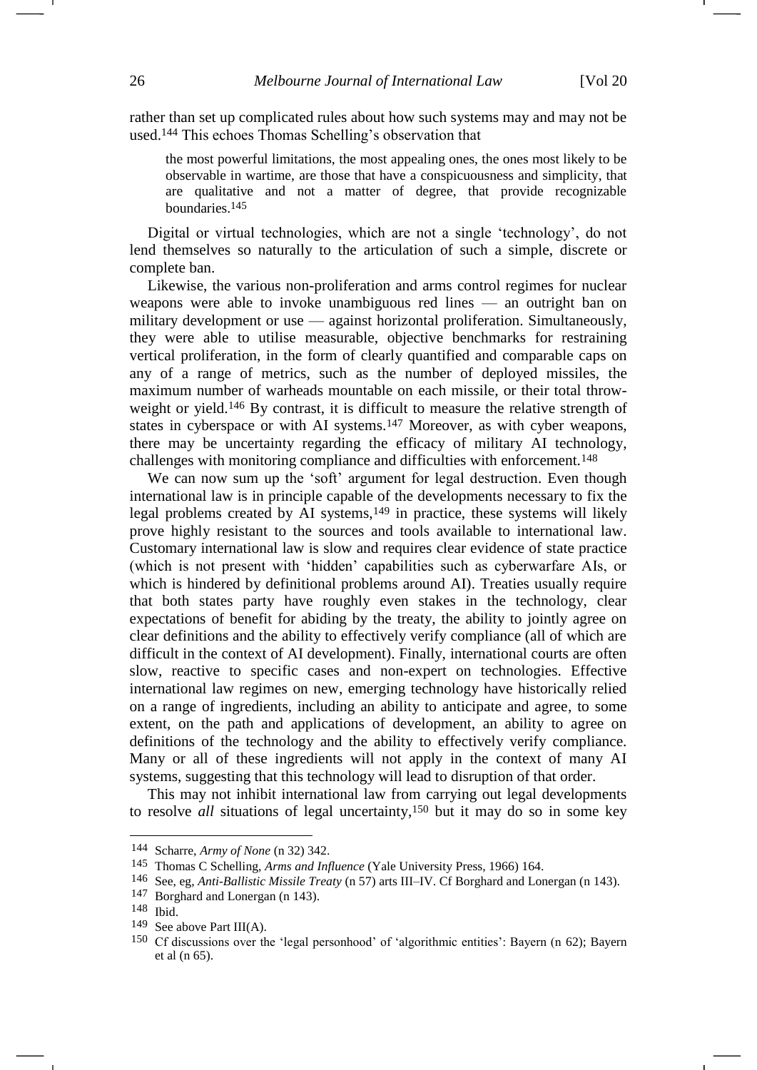rather than set up complicated rules about how such systems may and may not be used.<sup>144</sup> This echoes Thomas Schelling's observation that

the most powerful limitations, the most appealing ones, the ones most likely to be observable in wartime, are those that have a conspicuousness and simplicity, that are qualitative and not a matter of degree, that provide recognizable boundaries.145

Digital or virtual technologies, which are not a single 'technology', do not lend themselves so naturally to the articulation of such a simple, discrete or complete ban.

Likewise, the various non-proliferation and arms control regimes for nuclear weapons were able to invoke unambiguous red lines — an outright ban on military development or use — against horizontal proliferation. Simultaneously, they were able to utilise measurable, objective benchmarks for restraining vertical proliferation, in the form of clearly quantified and comparable caps on any of a range of metrics, such as the number of deployed missiles, the maximum number of warheads mountable on each missile, or their total throwweight or yield.<sup>146</sup> By contrast, it is difficult to measure the relative strength of states in cyberspace or with AI systems.<sup>147</sup> Moreover, as with cyber weapons, there may be uncertainty regarding the efficacy of military AI technology, challenges with monitoring compliance and difficulties with enforcement.<sup>148</sup>

We can now sum up the 'soft' argument for legal destruction. Even though international law is in principle capable of the developments necessary to fix the legal problems created by AI systems,<sup>149</sup> in practice, these systems will likely prove highly resistant to the sources and tools available to international law. Customary international law is slow and requires clear evidence of state practice (which is not present with 'hidden' capabilities such as cyberwarfare AIs, or which is hindered by definitional problems around AI). Treaties usually require that both states party have roughly even stakes in the technology, clear expectations of benefit for abiding by the treaty, the ability to jointly agree on clear definitions and the ability to effectively verify compliance (all of which are difficult in the context of AI development). Finally, international courts are often slow, reactive to specific cases and non-expert on technologies. Effective international law regimes on new, emerging technology have historically relied on a range of ingredients, including an ability to anticipate and agree, to some extent, on the path and applications of development, an ability to agree on definitions of the technology and the ability to effectively verify compliance. Many or all of these ingredients will not apply in the context of many AI systems, suggesting that this technology will lead to disruption of that order.

This may not inhibit international law from carrying out legal developments to resolve *all* situations of legal uncertainty, <sup>150</sup> but it may do so in some key

<sup>144</sup> Scharre, *Army of None* (n [32\)](#page-6-0) 342.

<sup>145</sup> Thomas C Schelling, *Arms and Influence* (Yale University Press, 1966) 164.

<sup>146</sup> See, eg, *Anti-Ballistic Missile Treaty* (n [57\)](#page-10-0) arts III–IV. Cf Borghard and Lonergan (n [143\)](#page-24-0).

<sup>147</sup> Borghard and Lonergan (n [143\)](#page-24-0).

<sup>148</sup> Ibid.

<sup>149</sup> See above Part III(A).

<sup>150</sup> Cf discussions over the 'legal personhood' of 'algorithmic entities': Bayern (n [62\)](#page-11-0); Bayern et al (n [65\)](#page-11-1).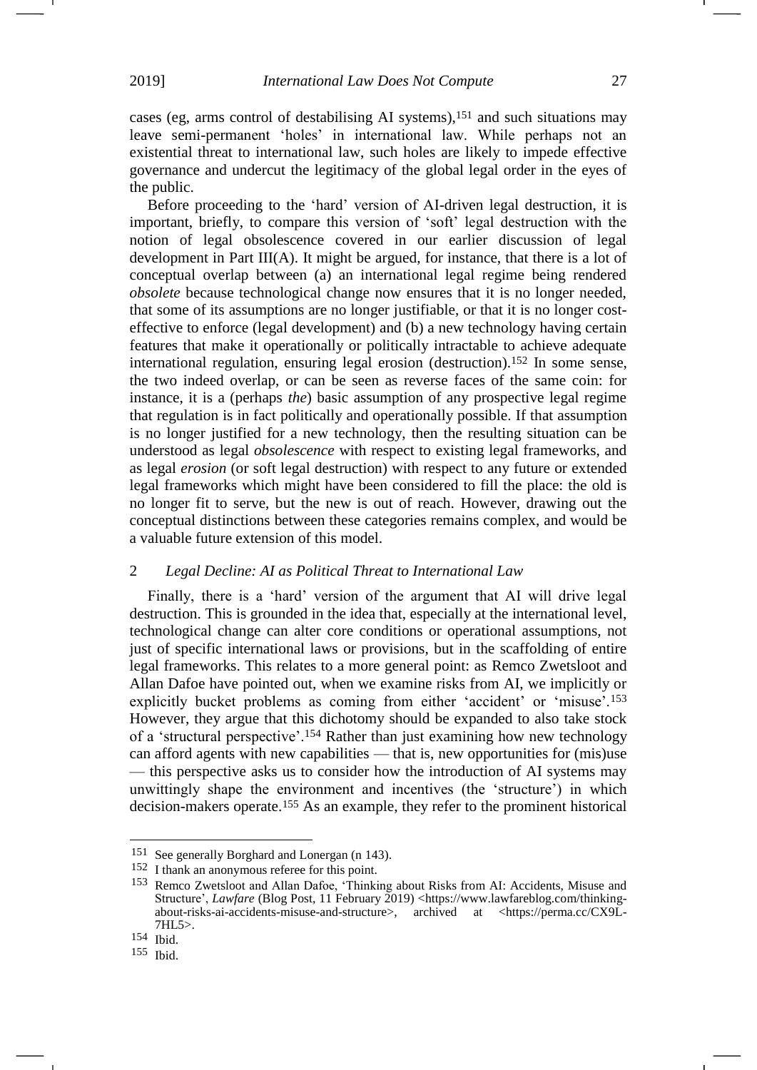cases (eg, arms control of destabilising AI systems),<sup>151</sup> and such situations may leave semi-permanent 'holes' in international law. While perhaps not an existential threat to international law, such holes are likely to impede effective governance and undercut the legitimacy of the global legal order in the eyes of the public.

Before proceeding to the 'hard' version of AI-driven legal destruction, it is important, briefly, to compare this version of 'soft' legal destruction with the notion of legal obsolescence covered in our earlier discussion of legal development in Part III(A). It might be argued, for instance, that there is a lot of conceptual overlap between (a) an international legal regime being rendered *obsolete* because technological change now ensures that it is no longer needed, that some of its assumptions are no longer justifiable, or that it is no longer costeffective to enforce (legal development) and (b) a new technology having certain features that make it operationally or politically intractable to achieve adequate international regulation, ensuring legal erosion (destruction). <sup>152</sup> In some sense, the two indeed overlap, or can be seen as reverse faces of the same coin: for instance, it is a (perhaps *the*) basic assumption of any prospective legal regime that regulation is in fact politically and operationally possible. If that assumption is no longer justified for a new technology, then the resulting situation can be understood as legal *obsolescence* with respect to existing legal frameworks, and as legal *erosion* (or soft legal destruction) with respect to any future or extended legal frameworks which might have been considered to fill the place: the old is no longer fit to serve, but the new is out of reach. However, drawing out the conceptual distinctions between these categories remains complex, and would be a valuable future extension of this model.

# 2 *Legal Decline: AI as Political Threat to International Law*

<span id="page-26-0"></span>Finally, there is a 'hard' version of the argument that AI will drive legal destruction. This is grounded in the idea that, especially at the international level, technological change can alter core conditions or operational assumptions, not just of specific international laws or provisions, but in the scaffolding of entire legal frameworks. This relates to a more general point: as Remco Zwetsloot and Allan Dafoe have pointed out, when we examine risks from AI, we implicitly or explicitly bucket problems as coming from either 'accident' or 'misuse'.<sup>153</sup> However, they argue that this dichotomy should be expanded to also take stock of a 'structural perspective'.<sup>154</sup> Rather than just examining how new technology can afford agents with new capabilities — that is, new opportunities for (mis)use — this perspective asks us to consider how the introduction of AI systems may unwittingly shape the environment and incentives (the 'structure') in which decision-makers operate.<sup>155</sup> As an example, they refer to the prominent historical

<sup>151</sup> See generally Borghard and Lonergan (n [143\)](#page-24-0).

<sup>152</sup> I thank an anonymous referee for this point.

<sup>153</sup> Remco Zwetsloot and Allan Dafoe, 'Thinking about Risks from AI: Accidents, Misuse and Structure', *Lawfare* (Blog Post, 11 February 2019) [<https://www.lawfareblog.com/thinking](https://www.lawfareblog.com/thinking-about-risks-ai-accidents-misuse-and-structure)[about-risks-ai-accidents-misuse-and-structure>](https://www.lawfareblog.com/thinking-about-risks-ai-accidents-misuse-and-structure), archived at [<https://perma.cc/CX9L-](https://perma.cc/CX9L-7HL5)[7HL5>](https://perma.cc/CX9L-7HL5).

<sup>154</sup> Ibid.

<sup>155</sup> Ibid.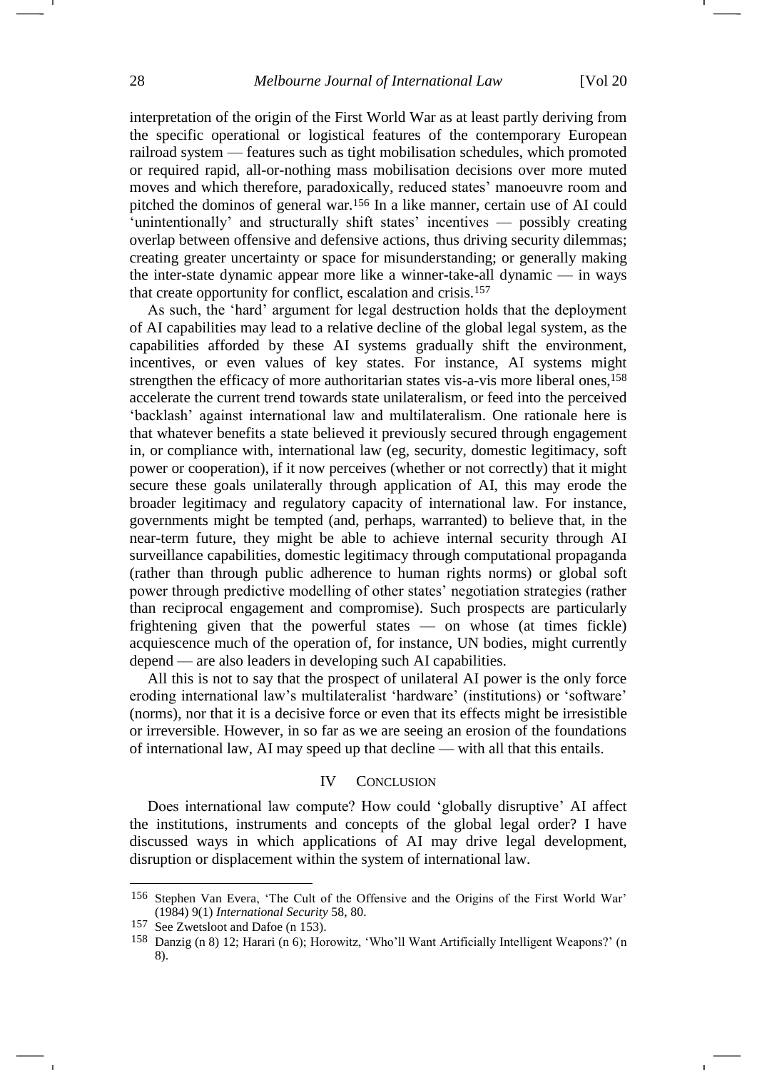interpretation of the origin of the First World War as at least partly deriving from the specific operational or logistical features of the contemporary European railroad system — features such as tight mobilisation schedules, which promoted or required rapid, all-or-nothing mass mobilisation decisions over more muted moves and which therefore, paradoxically, reduced states' manoeuvre room and pitched the dominos of general war. <sup>156</sup> In a like manner, certain use of AI could 'unintentionally' and structurally shift states' incentives — possibly creating overlap between offensive and defensive actions, thus driving security dilemmas; creating greater uncertainty or space for misunderstanding; or generally making the inter-state dynamic appear more like a winner-take-all dynamic — in ways that create opportunity for conflict, escalation and crisis.<sup>157</sup>

As such, the 'hard' argument for legal destruction holds that the deployment of AI capabilities may lead to a relative decline of the global legal system, as the capabilities afforded by these AI systems gradually shift the environment, incentives, or even values of key states. For instance, AI systems might strengthen the efficacy of more authoritarian states vis-a-vis more liberal ones,<sup>158</sup> accelerate the current trend towards state unilateralism, or feed into the perceived 'backlash' against international law and multilateralism. One rationale here is that whatever benefits a state believed it previously secured through engagement in, or compliance with, international law (eg, security, domestic legitimacy, soft power or cooperation), if it now perceives (whether or not correctly) that it might secure these goals unilaterally through application of AI, this may erode the broader legitimacy and regulatory capacity of international law. For instance, governments might be tempted (and, perhaps, warranted) to believe that, in the near-term future, they might be able to achieve internal security through AI surveillance capabilities, domestic legitimacy through computational propaganda (rather than through public adherence to human rights norms) or global soft power through predictive modelling of other states' negotiation strategies (rather than reciprocal engagement and compromise). Such prospects are particularly frightening given that the powerful states — on whose (at times fickle) acquiescence much of the operation of, for instance, UN bodies, might currently depend — are also leaders in developing such AI capabilities.

All this is not to say that the prospect of unilateral AI power is the only force eroding international law's multilateralist 'hardware' (institutions) or 'software' (norms), nor that it is a decisive force or even that its effects might be irresistible or irreversible. However, in so far as we are seeing an erosion of the foundations of international law, AI may speed up that decline — with all that this entails.

#### IV CONCLUSION

Does international law compute? How could 'globally disruptive' AI affect the institutions, instruments and concepts of the global legal order? I have discussed ways in which applications of AI may drive legal development, disruption or displacement within the system of international law.

<sup>156</sup> Stephen Van Evera, 'The Cult of the Offensive and the Origins of the First World War' (1984) 9(1) *International Security* 58, 80.

<sup>157</sup> See Zwetsloot and Dafoe (n [153\)](#page-26-0).

<sup>158</sup> Danzig (n [8\)](#page-2-3) 12; Harari (n [6\)](#page-1-1); Horowitz, 'Who'll Want Artificially Intelligent Weapons?' (n [8\)](#page-2-3).